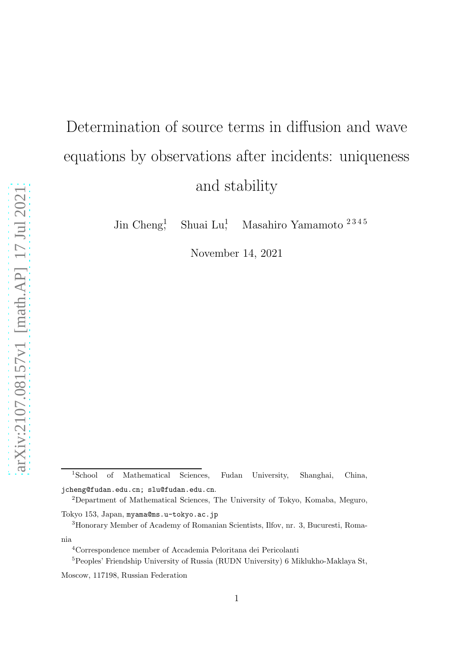# Determination of source terms in diffusion and wave equations by observations after incidents: uniqueness and stability

Jin Cheng<sup>1</sup> Shuai Lu! , Masahiro Yamamoto 2 3 4 5

November 14, 2021

<sup>1</sup>School of Mathematical Sciences, Fudan University, Shanghai, China, jcheng@fudan.edu.cn; slu@fudan.edu.cn.

<sup>2</sup>Department of Mathematical Sciences, The University of Tokyo, Komaba, Meguro,

Tokyo 153, Japan, myama@ms.u-tokyo.ac.jp

<sup>3</sup>Honorary Member of Academy of Romanian Scientists, Ilfov, nr. 3, Bucuresti, Romania

<sup>4</sup>Correspondence member of Accademia Peloritana dei Pericolanti

<sup>5</sup>Peoples' Friendship University of Russia (RUDN University) 6 Miklukho-Maklaya St,

Moscow, 117198, Russian Federation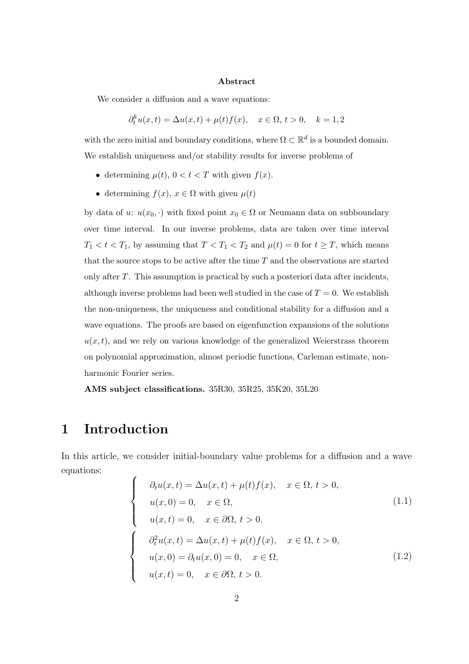#### Abstract

We consider a diffusion and a wave equations:

$$
\partial_t^k u(x,t) = \Delta u(x,t) + \mu(t)f(x), \quad x \in \Omega, \ t > 0, \quad k = 1,2
$$

with the zero initial and boundary conditions, where  $\Omega \subset \mathbb{R}^d$  is a bounded domain. We establish uniqueness and/or stability results for inverse problems of

- determining  $\mu(t)$ ,  $0 < t < T$  with given  $f(x)$ .
- determining  $f(x)$ ,  $x \in \Omega$  with given  $\mu(t)$

by data of u:  $u(x_0, \cdot)$  with fixed point  $x_0 \in \Omega$  or Neumann data on subboundary over time interval. In our inverse problems, data are taken over time interval  $T_1 < t < T_1$ , by assuming that  $T < T_1 < T_2$  and  $\mu(t) = 0$  for  $t \geq T$ , which means that the source stops to be active after the time  $T$  and the observations are started only after T. This assumption is practical by such a posteriori data after incidents, although inverse problems had been well studied in the case of  $T = 0$ . We establish the non-uniqueness, the uniqueness and conditional stability for a diffusion and a wave equations. The proofs are based on eigenfunction expansions of the solutions  $u(x, t)$ , and we rely on various knowledge of the generalized Weierstrass theorem on polynomial approximation, almost periodic functions, Carleman estimate, nonharmonic Fourier series.

AMS subject classifications. 35R30, 35R25, 35K20, 35L20

### 1 Introduction

In this article, we consider initial-boundary value problems for a diffusion and a wave equations:  $\overline{\phantom{a}}$ 

$$
\begin{cases}\n\partial_t u(x,t) = \Delta u(x,t) + \mu(t)f(x), & x \in \Omega, t > 0, \\
u(x,0) = 0, & x \in \Omega, \\
u(x,t) = 0, & x \in \partial\Omega, t > 0.\n\end{cases}
$$
\n(1.1)\n
$$
\partial_t^2 u(x,t) = \Delta u(x,t) + \mu(t)f(x), & x \in \Omega, t > 0,
$$
\n
$$
u(x,0) = \partial_t u(x,0) = 0, & x \in \Omega, \\
u(x,t) = 0, & x \in \partial\Omega, t > 0.
$$
\n(1.2)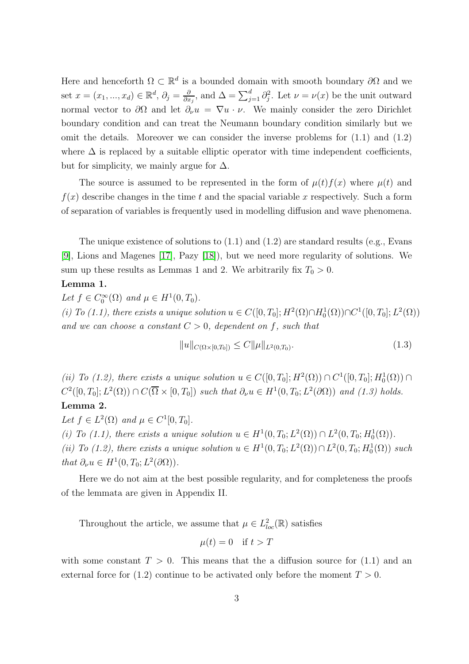Here and henceforth  $\Omega \subset \mathbb{R}^d$  is a bounded domain with smooth boundary  $\partial\Omega$  and we set  $x = (x_1, ..., x_d) \in \mathbb{R}^d$ ,  $\partial_j = \frac{\partial}{\partial x_j}$  $\frac{\partial}{\partial x_j}$ , and  $\Delta = \sum_{j=1}^d \partial_j^2$ . Let  $\nu = \nu(x)$  be the unit outward normal vector to  $\partial\Omega$  and let  $\partial_\nu u = \nabla u \cdot \nu$ . We mainly consider the zero Dirichlet boundary condition and can treat the Neumann boundary condition similarly but we omit the details. Moreover we can consider the inverse problems for  $(1.1)$  and  $(1.2)$ where  $\Delta$  is replaced by a suitable elliptic operator with time independent coefficients, but for simplicity, we mainly argue for  $\Delta$ .

The source is assumed to be represented in the form of  $\mu(t)f(x)$  where  $\mu(t)$  and  $f(x)$  describe changes in the time t and the spacial variable x respectively. Such a form of separation of variables is frequently used in modelling diffusion and wave phenomena.

The unique existence of solutions to (1.1) and (1.2) are standard results (e.g., Evans [\[9\]](#page-37-0), Lions and Magenes [\[17\]](#page-37-1), Pazy [\[18\]](#page-37-2)), but we need more regularity of solutions. We sum up these results as Lemmas 1 and 2. We arbitrarily fix  $T_0 > 0$ .

#### Lemma 1.

Let  $f \in C_0^{\infty}(\Omega)$  and  $\mu \in H^1(0, T_0)$ .

(i) To (1.1), there exists a unique solution  $u \in C([0, T_0]; H^2(\Omega) \cap H_0^1(\Omega)) \cap C^1([0, T_0]; L^2(\Omega))$ and we can choose a constant  $C > 0$ , dependent on f, such that

$$
||u||_{C(\Omega \times [0,T_0])} \le C ||\mu||_{L^2(0,T_0)}.
$$
\n(1.3)

(ii) To (1.2), there exists a unique solution  $u \in C([0, T_0]; H^2(\Omega)) \cap C^1([0, T_0]; H_0^1(\Omega)) \cap$  $C^2([0,T_0];L^2(\Omega)) \cap C(\overline{\Omega} \times [0,T_0])$  such that  $\partial_{\nu}u \in H^1(0,T_0;L^2(\partial \Omega))$  and (1.3) holds. Lemma 2.

Let  $f \in L^2(\Omega)$  and  $\mu \in C^1[0, T_0]$ .

(i) To (1.1), there exists a unique solution  $u \in H^1(0, T_0; L^2(\Omega)) \cap L^2(0, T_0; H_0^1(\Omega))$ . (ii) To (1.2), there exists a unique solution  $u \in H^1(0,T_0; L^2(\Omega)) \cap L^2(0,T_0; H_0^1(\Omega))$  such that  $\partial_{\nu} u \in H^1(0, T_0; L^2(\partial \Omega)).$ 

Here we do not aim at the best possible regularity, and for completeness the proofs of the lemmata are given in Appendix II.

Throughout the article, we assume that  $\mu \in L^2_{loc}(\mathbb{R})$  satisfies

$$
\mu(t) = 0 \quad \text{if } t > T
$$

with some constant  $T > 0$ . This means that the a diffusion source for (1.1) and an external force for  $(1.2)$  continue to be activated only before the moment  $T > 0$ .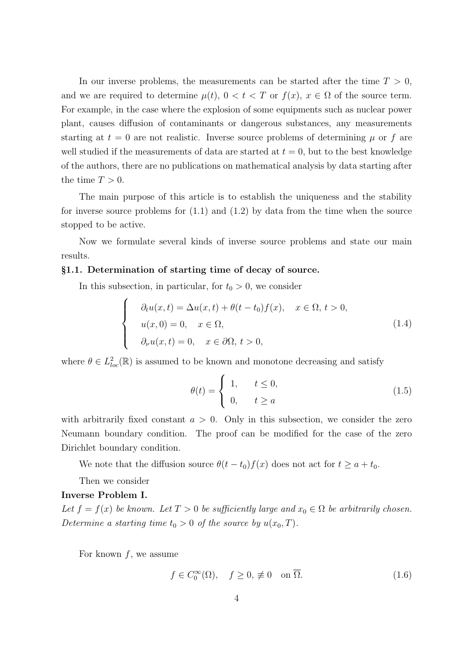In our inverse problems, the measurements can be started after the time  $T > 0$ , and we are required to determine  $\mu(t)$ ,  $0 < t < T$  or  $f(x)$ ,  $x \in \Omega$  of the source term. For example, in the case where the explosion of some equipments such as nuclear power plant, causes diffusion of contaminants or dangerous substances, any measurements starting at  $t = 0$  are not realistic. Inverse source problems of determining  $\mu$  or f are well studied if the measurements of data are started at  $t = 0$ , but to the best knowledge of the authors, there are no publications on mathematical analysis by data starting after the time  $T > 0$ .

The main purpose of this article is to establish the uniqueness and the stability for inverse source problems for  $(1.1)$  and  $(1.2)$  by data from the time when the source stopped to be active.

Now we formulate several kinds of inverse source problems and state our main results.

#### §1.1. Determination of starting time of decay of source.

In this subsection, in particular, for  $t_0 > 0$ , we consider

$$
\begin{cases}\n\partial_t u(x,t) = \Delta u(x,t) + \theta(t-t_0) f(x), & x \in \Omega, \ t > 0, \\
u(x,0) = 0, & x \in \Omega, \\
\partial_\nu u(x,t) = 0, & x \in \partial\Omega, \ t > 0,\n\end{cases}
$$
\n(1.4)

where  $\theta \in L^2_{loc}(\mathbb{R})$  is assumed to be known and monotone decreasing and satisfy

$$
\theta(t) = \begin{cases} 1, & t \le 0, \\ 0, & t \ge a \end{cases} \tag{1.5}
$$

with arbitrarily fixed constant  $a > 0$ . Only in this subsection, we consider the zero Neumann boundary condition. The proof can be modified for the case of the zero Dirichlet boundary condition.

We note that the diffusion source  $\theta(t - t_0)f(x)$  does not act for  $t \ge a + t_0$ .

Then we consider

#### Inverse Problem I.

Let  $f = f(x)$  be known. Let  $T > 0$  be sufficiently large and  $x_0 \in \Omega$  be arbitrarily chosen. Determine a starting time  $t_0 > 0$  of the source by  $u(x_0, T)$ .

For known  $f$ , we assume

$$
f \in C_0^{\infty}(\Omega), \quad f \ge 0, \neq 0 \quad \text{on } \overline{\Omega}.
$$
 (1.6)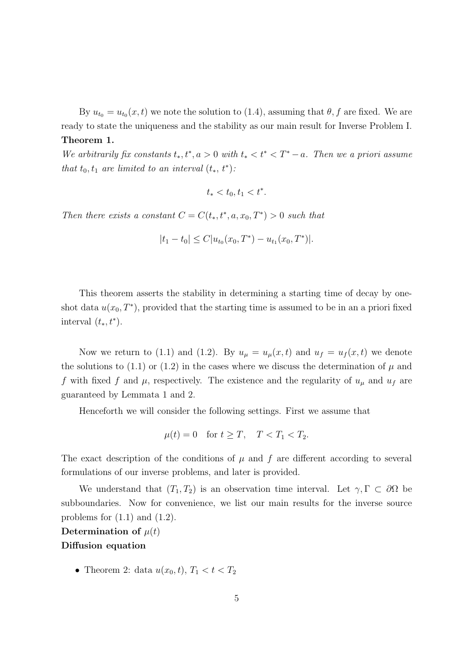By  $u_{t_0} = u_{t_0}(x, t)$  we note the solution to (1.4), assuming that  $\theta, f$  are fixed. We are ready to state the uniqueness and the stability as our main result for Inverse Problem I. Theorem 1.

We arbitrarily fix constants  $t_*, t^*, a > 0$  with  $t_* < t^* < T^* - a$ . Then we a priori assume that  $t_0, t_1$  are limited to an interval  $(t_*, t^*)$ :

$$
t_* < t_0, t_1 < t^*.
$$

Then there exists a constant  $C = C(t_*, t^*, a, x_0, T^*) > 0$  such that

$$
|t_1-t_0| \le C|u_{t_0}(x_0,T^*) - u_{t_1}(x_0,T^*)|.
$$

This theorem asserts the stability in determining a starting time of decay by oneshot data  $u(x_0, T^*)$ , provided that the starting time is assumed to be in an a priori fixed interval  $(t_*, t^*)$ .

Now we return to (1.1) and (1.2). By  $u_{\mu} = u_{\mu}(x, t)$  and  $u_{f} = u_{f}(x, t)$  we denote the solutions to (1.1) or (1.2) in the cases where we discuss the determination of  $\mu$  and f with fixed f and  $\mu$ , respectively. The existence and the regularity of  $u_{\mu}$  and  $u_{f}$  are guaranteed by Lemmata 1 and 2.

Henceforth we will consider the following settings. First we assume that

$$
\mu(t) = 0 \quad \text{for } t \ge T, \quad T < T_1 < T_2.
$$

The exact description of the conditions of  $\mu$  and  $f$  are different according to several formulations of our inverse problems, and later is provided.

We understand that  $(T_1, T_2)$  is an observation time interval. Let  $\gamma, \Gamma \subset \partial\Omega$  be subboundaries. Now for convenience, we list our main results for the inverse source problems for  $(1.1)$  and  $(1.2)$ .

Determination of  $\mu(t)$ 

#### Diffusion equation

• Theorem 2: data  $u(x_0, t)$ ,  $T_1 < t < T_2$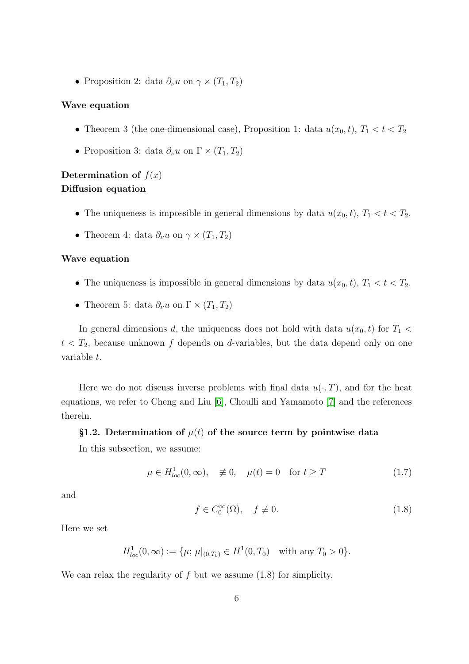• Proposition 2: data  $\partial_{\nu} u$  on  $\gamma \times (T_1, T_2)$ 

#### Wave equation

- Theorem 3 (the one-dimensional case), Proposition 1: data  $u(x_0, t)$ ,  $T_1 < t < T_2$
- Proposition 3: data  $\partial_{\nu} u$  on  $\Gamma \times (T_1, T_2)$

### Determination of  $f(x)$ Diffusion equation

- The uniqueness is impossible in general dimensions by data  $u(x_0, t)$ ,  $T_1 < t < T_2$ .
- Theorem 4: data  $\partial_{\nu} u$  on  $\gamma \times (T_1, T_2)$

#### Wave equation

- The uniqueness is impossible in general dimensions by data  $u(x_0, t)$ ,  $T_1 < t < T_2$ .
- Theorem 5: data  $\partial_{\nu} u$  on  $\Gamma \times (T_1, T_2)$

In general dimensions d, the uniqueness does not hold with data  $u(x_0, t)$  for  $T_1$  $t < T_2$ , because unknown f depends on d-variables, but the data depend only on one variable t.

Here we do not discuss inverse problems with final data  $u(\cdot, T)$ , and for the heat equations, we refer to Cheng and Liu [\[6\]](#page-37-3), Choulli and Yamamoto [\[7\]](#page-37-4) and the references therein.

#### §1.2. Determination of  $\mu(t)$  of the source term by pointwise data

In this subsection, we assume:

$$
\mu \in H_{loc}^1(0, \infty), \quad \not\equiv 0, \quad \mu(t) = 0 \quad \text{for } t \ge T \tag{1.7}
$$

and

$$
f \in C_0^{\infty}(\Omega), \quad f \not\equiv 0. \tag{1.8}
$$

Here we set

$$
H_{loc}^1(0,\infty) := \{\mu; \, \mu|_{(0,T_0)} \in H^1(0,T_0) \quad \text{with any } T_0 > 0\}.
$$

We can relax the regularity of  $f$  but we assume  $(1.8)$  for simplicity.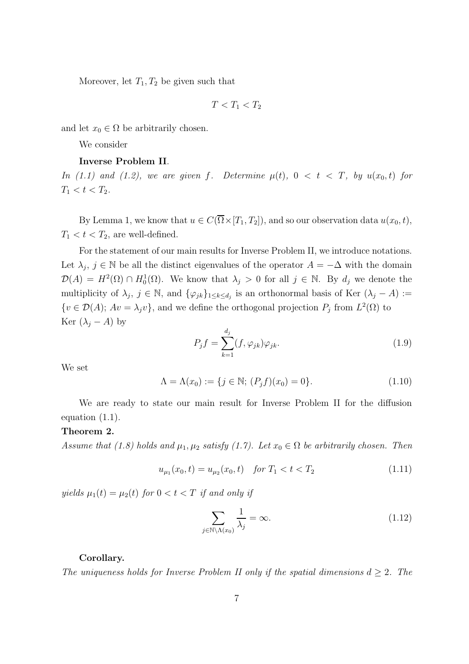Moreover, let  $T_1, T_2$  be given such that

$$
T
$$

and let  $x_0 \in \Omega$  be arbitrarily chosen.

We consider

#### Inverse Problem II.

In (1.1) and (1.2), we are given f. Determine  $\mu(t)$ ,  $0 < t < T$ , by  $u(x_0, t)$  for  $T_1 < t < T_2$ .

By Lemma 1, we know that  $u \in C(\overline{\Omega} \times [T_1, T_2])$ , and so our observation data  $u(x_0, t)$ ,  $T_1 < t < T_2$ , are well-defined.

For the statement of our main results for Inverse Problem II, we introduce notations. Let  $\lambda_j$ ,  $j \in \mathbb{N}$  be all the distinct eigenvalues of the operator  $A = -\Delta$  with the domain  $\mathcal{D}(A) = H^2(\Omega) \cap H_0^1(\Omega)$ . We know that  $\lambda_j > 0$  for all  $j \in \mathbb{N}$ . By  $d_j$  we denote the multiplicity of  $\lambda_j$ ,  $j \in \mathbb{N}$ , and  $\{\varphi_{jk}\}_{1 \leq k \leq d_j}$  is an orthonormal basis of Ker  $(\lambda_j - A) :=$  $\{v \in \mathcal{D}(A); Av = \lambda_j v\}$ , and we define the orthogonal projection  $P_j$  from  $L^2(\Omega)$  to Ker  $(\lambda_j - A)$  by

$$
P_j f = \sum_{k=1}^{d_j} (f, \varphi_{jk}) \varphi_{jk}.
$$
\n(1.9)

We set

$$
\Lambda = \Lambda(x_0) := \{ j \in \mathbb{N}; (P_j f)(x_0) = 0 \}.
$$
\n(1.10)

We are ready to state our main result for Inverse Problem II for the diffusion equation (1.1).

#### Theorem 2.

Assume that (1.8) holds and  $\mu_1, \mu_2$  satisfy (1.7). Let  $x_0 \in \Omega$  be arbitrarily chosen. Then

$$
u_{\mu_1}(x_0, t) = u_{\mu_2}(x_0, t) \quad \text{for } T_1 < t < T_2 \tag{1.11}
$$

yields  $\mu_1(t) = \mu_2(t)$  for  $0 < t < T$  if and only if

$$
\sum_{j \in \mathbb{N} \setminus \Lambda(x_0)} \frac{1}{\lambda_j} = \infty.
$$
\n(1.12)

#### Corollary.

The uniqueness holds for Inverse Problem II only if the spatial dimensions  $d \geq 2$ . The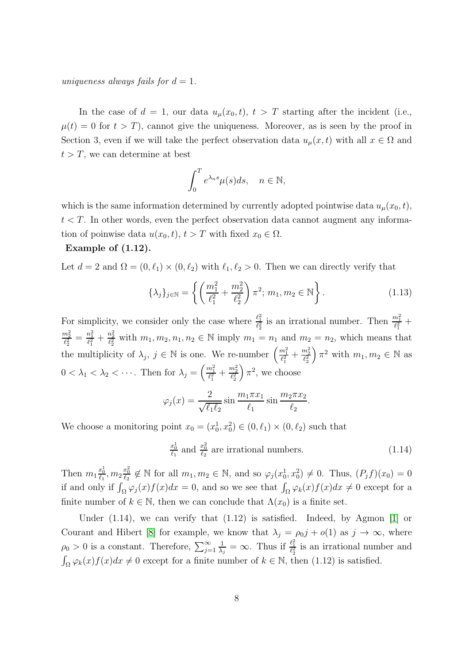uniqueness always fails for  $d = 1$ .

In the case of  $d = 1$ , our data  $u_{\mu}(x_0, t)$ ,  $t > T$  starting after the incident (i.e.,  $\mu(t) = 0$  for  $t > T$ , cannot give the uniqueness. Moreover, as is seen by the proof in Section 3, even if we will take the perfect observation data  $u_{\mu}(x, t)$  with all  $x \in \Omega$  and  $t > T$ , we can determine at best

$$
\int_0^T e^{\lambda_n s} \mu(s) ds, \quad n \in \mathbb{N},
$$

which is the same information determined by currently adopted pointwise data  $u_{\mu}(x_0, t)$ ,  $t < T$ . In other words, even the perfect observation data cannot augment any information of poinwise data  $u(x_0, t)$ ,  $t > T$  with fixed  $x_0 \in \Omega$ .

#### Example of (1.12).

Let  $d = 2$  and  $\Omega = (0, \ell_1) \times (0, \ell_2)$  with  $\ell_1, \ell_2 > 0$ . Then we can directly verify that

$$
\{\lambda_j\}_{j \in \mathbb{N}} = \left\{ \left( \frac{m_1^2}{\ell_1^2} + \frac{m_2^2}{\ell_2^2} \right) \pi^2; \ m_1, m_2 \in \mathbb{N} \right\}.
$$
 (1.13)

For simplicity, we consider only the case where  $\frac{\ell_1^2}{\ell_2^2}$  is an irrational number. Then  $\frac{m_1^2}{\ell_1^2}$  +  $\frac{m_2^2}{\ell_2^2} = \frac{n_1^2}{\ell_1^2} + \frac{n_2^2}{\ell_2^2}$  with  $m_1, m_2, n_1, n_2 \in \mathbb{N}$  imply  $m_1 = n_1$  and  $m_2 = n_2$ , which means that the multiplicity of  $\lambda_j$ ,  $j \in \mathbb{N}$  is one. We re-number  $\left(\frac{m_1^2}{\ell_1^2} + \frac{m_2^2}{\ell_2^2}\right)$  $\Big)$   $\pi^2$  with  $m_1, m_2 \in \mathbb{N}$  as  $0 < \lambda_1 < \lambda_2 < \cdots$ . Then for  $\lambda_j = \left(\frac{m_1^2}{\ell_1^2} + \frac{m_2^2}{\ell_2^2}\right)$  $\int \pi^2$ , we choose

$$
\varphi_j(x) = \frac{2}{\sqrt{\ell_1 \ell_2}} \sin \frac{m_1 \pi x_1}{\ell_1} \sin \frac{m_2 \pi x_2}{\ell_2}.
$$

We choose a monitoring point  $x_0 = (x_0^1, x_0^2) \in (0, \ell_1) \times (0, \ell_2)$  such that

$$
\frac{x_0^1}{\ell_1} \text{ and } \frac{x_0^2}{\ell_2} \text{ are irrational numbers.} \tag{1.14}
$$

Then  $m_1 \frac{x_0^1}{\ell_1}, m_2 \frac{x_0^2}{\ell_2} \notin \mathbb{N}$  for all  $m_1, m_2 \in \mathbb{N}$ , and so  $\varphi_j(x_0^1, x_0^2) \neq 0$ . Thus,  $(P_j f)(x_0) = 0$ if and only if  $\int_{\Omega} \varphi_j(x) f(x) dx = 0$ , and so we see that  $\int_{\Omega} \varphi_k(x) f(x) dx \neq 0$  except for a finite number of  $k \in \mathbb{N}$ , then we can conclude that  $\Lambda(x_0)$  is a finite set.

Under  $(1.14)$ , we can verify that  $(1.12)$  is satisfied. Indeed, by Agmon [\[1\]](#page-36-0) or Courant and Hibert [\[8\]](#page-37-5) for example, we know that  $\lambda_j = \rho_{0j} + o(1)$  as  $j \to \infty$ , where  $\rho_0 > 0$  is a constant. Therefore,  $\sum_{j=1}^{\infty}$ 1  $\frac{1}{\lambda_j} = \infty$ . Thus if  $\frac{\ell_1^2}{\ell_2^2}$  is an irrational number and  $\int_{\Omega} \varphi_k(x) f(x) dx \neq 0$  except for a finite number of  $k \in \mathbb{N}$ , then (1.12) is satisfied.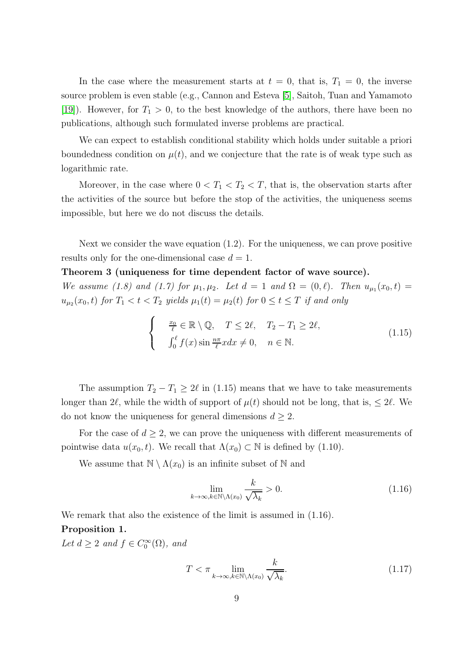In the case where the measurement starts at  $t = 0$ , that is,  $T_1 = 0$ , the inverse source problem is even stable (e.g., Cannon and Esteva [\[5\]](#page-36-1), Saitoh, Tuan and Yamamoto [\[19\]](#page-37-6)). However, for  $T_1 > 0$ , to the best knowledge of the authors, there have been no publications, although such formulated inverse problems are practical.

We can expect to establish conditional stability which holds under suitable a priori boundedness condition on  $\mu(t)$ , and we conjecture that the rate is of weak type such as logarithmic rate.

Moreover, in the case where  $0 < T_1 < T_2 < T$ , that is, the observation starts after the activities of the source but before the stop of the activities, the uniqueness seems impossible, but here we do not discuss the details.

Next we consider the wave equation (1.2). For the uniqueness, we can prove positive results only for the one-dimensional case  $d = 1$ .

#### Theorem 3 (uniqueness for time dependent factor of wave source).

We assume (1.8) and (1.7) for  $\mu_1, \mu_2$ . Let  $d = 1$  and  $\Omega = (0, \ell)$ . Then  $u_{\mu_1}(x_0, t) =$  $u_{\mu_2}(x_0,t)$  for  $T_1 < t < T_2$  yields  $\mu_1(t) = \mu_2(t)$  for  $0 \le t \le T$  if and only

$$
\begin{cases}\n\frac{x_0}{\ell} \in \mathbb{R} \setminus \mathbb{Q}, & T \le 2\ell, \quad T_2 - T_1 \ge 2\ell, \\
\int_0^{\ell} f(x) \sin \frac{n\pi}{\ell} x dx \ne 0, & n \in \mathbb{N}.\n\end{cases}
$$
\n(1.15)

The assumption  $T_2 - T_1 \geq 2\ell$  in (1.15) means that we have to take measurements longer than  $2\ell$ , while the width of support of  $\mu(t)$  should not be long, that is,  $\leq 2\ell$ . We do not know the uniqueness for general dimensions  $d \geq 2$ .

For the case of  $d \geq 2$ , we can prove the uniqueness with different measurements of pointwise data  $u(x_0, t)$ . We recall that  $\Lambda(x_0) \subset \mathbb{N}$  is defined by (1.10).

We assume that  $\mathbb{N} \setminus \Lambda(x_0)$  is an infinite subset of  $\mathbb N$  and

$$
\lim_{k \to \infty, k \in \mathbb{N} \setminus \Lambda(x_0)} \frac{k}{\sqrt{\lambda_k}} > 0.
$$
\n(1.16)

We remark that also the existence of the limit is assumed in  $(1.16)$ . Proposition 1.

Let  $d \geq 2$  and  $f \in C_0^{\infty}(\Omega)$ , and

$$
T < \pi \lim_{k \to \infty, k \in \mathbb{N} \setminus \Lambda(x_0)} \frac{k}{\sqrt{\lambda_k}}.\tag{1.17}
$$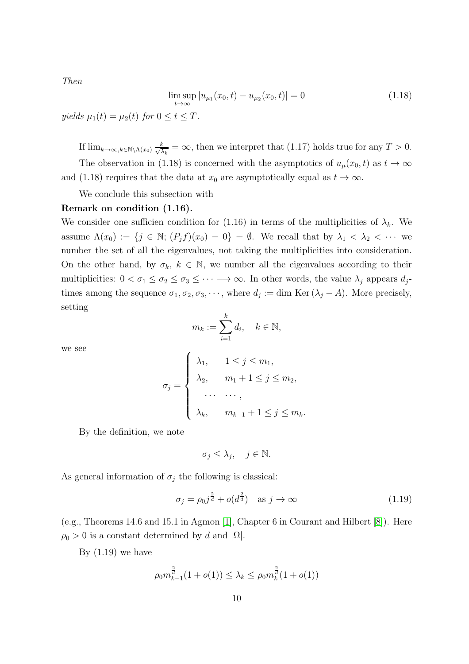Then

$$
\limsup_{t \to \infty} |u_{\mu_1}(x_0, t) - u_{\mu_2}(x_0, t)| = 0 \tag{1.18}
$$

yields  $\mu_1(t) = \mu_2(t)$  for  $0 \le t \le T$ .

If  $\lim_{k\to\infty, k\in\mathbb{N}\setminus\Lambda(x_0)} \frac{k}{\sqrt{2}}$  $\frac{k}{\lambda_k} = \infty$ , then we interpret that (1.17) holds true for any  $T > 0$ . The observation in (1.18) is concerned with the asymptotics of  $u_{\mu}(x_0, t)$  as  $t \to \infty$ and (1.18) requires that the data at  $x_0$  are asymptotically equal as  $t \to \infty$ .

We conclude this subsection with

#### Remark on condition (1.16).

We consider one sufficien condition for (1.16) in terms of the multiplicities of  $\lambda_k$ . We assume  $\Lambda(x_0) := \{j \in \mathbb{N}; (P_j f)(x_0) = 0\} = \emptyset$ . We recall that by  $\lambda_1 < \lambda_2 < \cdots$  we number the set of all the eigenvalues, not taking the multiplicities into consideration. On the other hand, by  $\sigma_k, k \in \mathbb{N}$ , we number all the eigenvalues according to their multiplicities:  $0 < \sigma_1 \leq \sigma_2 \leq \sigma_3 \leq \cdots \longrightarrow \infty$ . In other words, the value  $\lambda_j$  appears  $d_j$ times among the sequence  $\sigma_1, \sigma_2, \sigma_3, \cdots$ , where  $d_j := \dim \text{Ker}(\lambda_j - A)$ . More precisely, setting

$$
m_k := \sum_{i=1}^k d_i, \quad k \in \mathbb{N},
$$

we see

$$
\sigma_j = \begin{cases} \lambda_1, & 1 \leq j \leq m_1, \\ \lambda_2, & m_1 + 1 \leq j \leq m_2, \\ \cdots & \cdots, \\ \lambda_k, & m_{k-1} + 1 \leq j \leq m_k. \end{cases}
$$

By the definition, we note

$$
\sigma_j \leq \lambda_j, \quad j \in \mathbb{N}.
$$

As general information of  $\sigma_j$  the following is classical:

$$
\sigma_j = \rho_0 j^{\frac{2}{d}} + o(d^{\frac{2}{d}}) \quad \text{as } j \to \infty \tag{1.19}
$$

(e.g., Theorems 14.6 and 15.1 in Agmon [\[1\]](#page-36-0), Chapter 6 in Courant and Hilbert [\[8\]](#page-37-5)). Here  $\rho_0 > 0$  is a constant determined by d and  $|\Omega|$ .

By  $(1.19)$  we have

$$
\rho_0 m_{k-1}^{\frac{2}{d}} (1 + o(1)) \le \lambda_k \le \rho_0 m_k^{\frac{2}{d}} (1 + o(1))
$$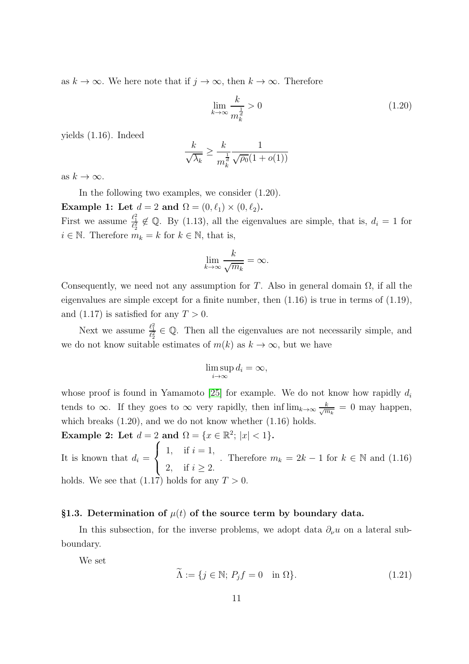as  $k \to \infty$ . We here note that if  $j \to \infty$ , then  $k \to \infty$ . Therefore

$$
\lim_{k \to \infty} \frac{k}{m_k^{\frac{1}{d}}} > 0 \tag{1.20}
$$

yields (1.16). Indeed

$$
\frac{k}{\sqrt{\lambda_k}} \ge \frac{k}{m_k^{\frac{1}{d}} \sqrt{\rho_0} (1 + o(1))}
$$

as  $k \to \infty$ .

In the following two examples, we consider (1.20).

Example 1: Let  $d = 2$  and  $\Omega = (0, \ell_1) \times (0, \ell_2)$ .

First we assume  $\frac{\ell_1^2}{\ell_2^2} \notin \mathbb{Q}$ . By (1.13), all the eigenvalues are simple, that is,  $d_i = 1$  for  $i \in \mathbb{N}$ . Therefore  $m_k = k$  for  $k \in \mathbb{N}$ , that is,

$$
\lim_{k \to \infty} \frac{k}{\sqrt{m_k}} = \infty.
$$

Consequently, we need not any assumption for T. Also in general domain  $\Omega$ , if all the eigenvalues are simple except for a finite number, then  $(1.16)$  is true in terms of  $(1.19)$ , and  $(1.17)$  is satisfied for any  $T > 0$ .

Next we assume  $\frac{\ell_1^2}{\ell_2^2} \in \mathbb{Q}$ . Then all the eigenvalues are not necessarily simple, and we do not know suitable estimates of  $m(k)$  as  $k \to \infty$ , but we have

$$
\limsup_{i \to \infty} d_i = \infty,
$$

whose proof is found in Yamamoto [\[25\]](#page-38-0) for example. We do not know how rapidly  $d_i$ tends to  $\infty$ . If they goes to  $\infty$  very rapidly, then  $\inf \lim_{k \to \infty} \frac{k}{\sqrt{m_k}} = 0$  may happen, which breaks  $(1.20)$ , and we do not know whether  $(1.16)$  holds.

Example 2: Let  $d = 2$  and  $\Omega = \{x \in \mathbb{R}^2; |x| < 1\}.$ 

It is known that  $d_i =$  $\sqrt{ }$  $\frac{1}{2}$  $\mathcal{L}$ 1, if  $i = 1$ , 2, if  $i \ge 2$ . . Therefore  $m_k = 2k - 1$  for  $k \in \mathbb{N}$  and  $(1.16)$ holds. We see that  $(1.17)$  holds for any  $T > 0$ .

#### §1.3. Determination of  $\mu(t)$  of the source term by boundary data.

In this subsection, for the inverse problems, we adopt data  $\partial_{\nu}u$  on a lateral subboundary.

We set

$$
\widetilde{\Lambda} := \{ j \in \mathbb{N}; \, P_j f = 0 \quad \text{in } \Omega \}. \tag{1.21}
$$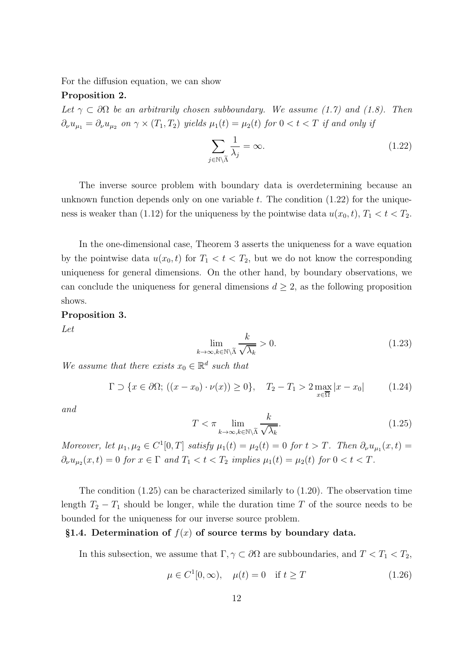For the diffusion equation, we can show

#### Proposition 2.

Let  $\gamma \subset \partial\Omega$  be an arbitrarily chosen subboundary. We assume (1.7) and (1.8). Then  $\partial_{\nu}u_{\mu_1} = \partial_{\nu}u_{\mu_2}$  on  $\gamma \times (T_1, T_2)$  yields  $\mu_1(t) = \mu_2(t)$  for  $0 < t < T$  if and only if

$$
\sum_{j \in \mathbb{N} \setminus \widetilde{\Lambda}} \frac{1}{\lambda_j} = \infty. \tag{1.22}
$$

The inverse source problem with boundary data is overdetermining because an unknown function depends only on one variable  $t$ . The condition  $(1.22)$  for the uniqueness is weaker than (1.12) for the uniqueness by the pointwise data  $u(x_0, t)$ ,  $T_1 < t < T_2$ .

In the one-dimensional case, Theorem 3 asserts the uniqueness for a wave equation by the pointwise data  $u(x_0, t)$  for  $T_1 < t < T_2$ , but we do not know the corresponding uniqueness for general dimensions. On the other hand, by boundary observations, we can conclude the uniqueness for general dimensions  $d \geq 2$ , as the following proposition shows.

#### Proposition 3.

Let

$$
\lim_{k \to \infty, k \in \mathbb{N} \backslash \tilde{\Lambda}} \frac{k}{\sqrt{\lambda_k}} > 0. \tag{1.23}
$$

We assume that there exists  $x_0 \in \mathbb{R}^d$  such that

$$
\Gamma \supset \{x \in \partial \Omega; ((x - x_0) \cdot \nu(x)) \ge 0\}, \quad T_2 - T_1 > 2 \max_{x \in \overline{\Omega}} |x - x_0| \tag{1.24}
$$

and

$$
T < \pi \lim_{k \to \infty, k \in \mathbb{N} \backslash \widetilde{\Lambda}} \frac{k}{\sqrt{\lambda_k}}.\tag{1.25}
$$

Moreover, let  $\mu_1, \mu_2 \in C^1[0,T]$  satisfy  $\mu_1(t) = \mu_2(t) = 0$  for  $t > T$ . Then  $\partial_{\nu}u_{\mu_1}(x,t) =$  $\partial_{\nu}u_{\mu_2}(x,t) = 0$  for  $x \in \Gamma$  and  $T_1 < t < T_2$  implies  $\mu_1(t) = \mu_2(t)$  for  $0 < t < T$ .

The condition (1.25) can be characterized similarly to (1.20). The observation time length  $T_2 - T_1$  should be longer, while the duration time T of the source needs to be bounded for the uniqueness for our inverse source problem.

#### §1.4. Determination of  $f(x)$  of source terms by boundary data.

In this subsection, we assume that  $\Gamma, \gamma \subset \partial\Omega$  are subboundaries, and  $T < T_1 < T_2$ ,

$$
\mu \in C^1[0, \infty), \quad \mu(t) = 0 \quad \text{if } t \ge T \tag{1.26}
$$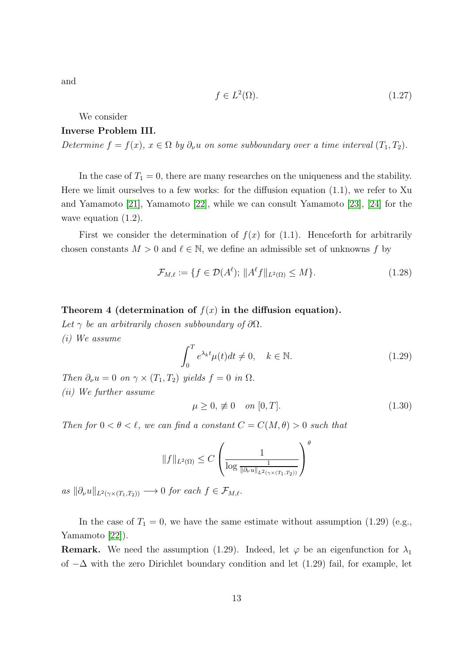and

$$
f \in L^2(\Omega). \tag{1.27}
$$

We consider

#### Inverse Problem III.

Determine  $f = f(x)$ ,  $x \in \Omega$  by  $\partial_{\nu}u$  on some subboundary over a time interval  $(T_1, T_2)$ .

In the case of  $T_1 = 0$ , there are many researches on the uniqueness and the stability. Here we limit ourselves to a few works: for the diffusion equation (1.1), we refer to Xu and Yamamoto [\[21\]](#page-38-1), Yamamoto [\[22\]](#page-38-2), while we can consult Yamamoto [\[23\]](#page-38-3), [\[24\]](#page-38-4) for the wave equation  $(1.2)$ .

First we consider the determination of  $f(x)$  for (1.1). Henceforth for arbitrarily chosen constants  $M > 0$  and  $\ell \in \mathbb{N}$ , we define an admissible set of unknowns f by

$$
\mathcal{F}_{M,\ell} := \{ f \in \mathcal{D}(A^{\ell}); \|A^{\ell}f\|_{L^{2}(\Omega)} \le M \}.
$$
\n(1.28)

#### Theorem 4 (determination of  $f(x)$  in the diffusion equation).

Let  $\gamma$  be an arbitrarily chosen subboundary of  $\partial\Omega$ .

(i) We assume

$$
\int_0^T e^{\lambda_k t} \mu(t) dt \neq 0, \quad k \in \mathbb{N}.
$$
 (1.29)

Then  $\partial_{\nu}u = 0$  on  $\gamma \times (T_1, T_2)$  yields  $f = 0$  in  $\Omega$ . (ii) We further assume

$$
\mu \ge 0, \neq 0 \quad on \ [0, T]. \tag{1.30}
$$

Then for  $0 < \theta < \ell$ , we can find a constant  $C = C(M, \theta) > 0$  such that

$$
||f||_{L^2(\Omega)} \leq C \left(\frac{1}{\log \frac{1}{\|\partial_\nu u\|_{L^2(\gamma \times (T_1, T_2))}}}\right)^\theta
$$

as  $\|\partial_{\nu}u\|_{L^2(\gamma \times (T_1,T_2))} \longrightarrow 0$  for each  $f \in \mathcal{F}_{M,\ell}$ .

In the case of  $T_1 = 0$ , we have the same estimate without assumption (1.29) (e.g., Yamamoto [\[22\]](#page-38-2)).

**Remark.** We need the assumption (1.29). Indeed, let  $\varphi$  be an eigenfunction for  $\lambda_1$ of  $-\Delta$  with the zero Dirichlet boundary condition and let (1.29) fail, for example, let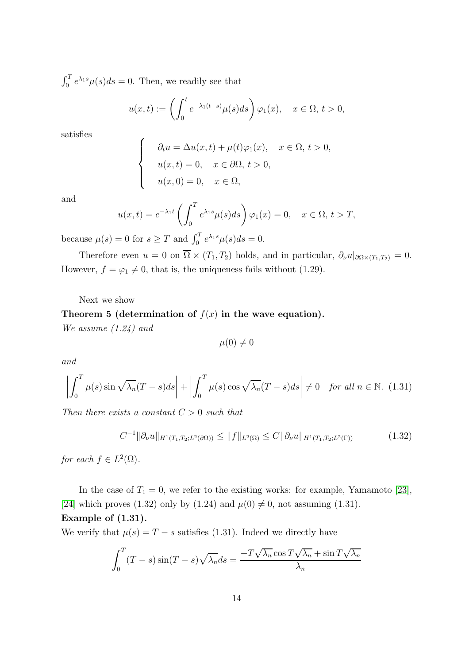$\int_0^T e^{\lambda_1 s} \mu(s) ds = 0$ . Then, we readily see that

$$
u(x,t) := \left(\int_0^t e^{-\lambda_1(t-s)} \mu(s)ds\right) \varphi_1(x), \quad x \in \Omega, \ t > 0,
$$

satisfies

$$
\begin{cases}\n\partial_t u = \Delta u(x, t) + \mu(t)\varphi_1(x), & x \in \Omega, \ t > 0, \\
u(x, t) = 0, & x \in \partial\Omega, \ t > 0, \\
u(x, 0) = 0, & x \in \Omega,\n\end{cases}
$$

and

$$
u(x,t) = e^{-\lambda_1 t} \left( \int_0^T e^{\lambda_1 s} \mu(s) ds \right) \varphi_1(x) = 0, \quad x \in \Omega, \ t > T,
$$

because  $\mu(s) = 0$  for  $s \geq T$  and  $\int_0^T e^{\lambda_1 s} \mu(s) ds = 0$ .

Therefore even  $u = 0$  on  $\overline{\Omega} \times (T_1, T_2)$  holds, and in particular,  $\partial_{\nu} u|_{\partial \Omega \times (T_1, T_2)} = 0$ . However,  $f = \varphi_1 \neq 0$ , that is, the uniqueness fails without (1.29).

Next we show

#### Theorem 5 (determination of  $f(x)$  in the wave equation).

We assume (1.24) and

$$
\mu(0)\neq 0
$$

and

$$
\left| \int_0^T \mu(s) \sin \sqrt{\lambda_n} (T - s) ds \right| + \left| \int_0^T \mu(s) \cos \sqrt{\lambda_n} (T - s) ds \right| \neq 0 \quad \text{for all } n \in \mathbb{N}. \tag{1.31}
$$

Then there exists a constant  $C > 0$  such that

$$
C^{-1} \|\partial_{\nu} u\|_{H^1(T_1, T_2; L^2(\partial \Omega))} \le \|f\|_{L^2(\Omega)} \le C \|\partial_{\nu} u\|_{H^1(T_1, T_2; L^2(\Gamma))}
$$
(1.32)

for each  $f \in L^2(\Omega)$ .

In the case of  $T_1 = 0$ , we refer to the existing works: for example, Yamamoto [\[23\]](#page-38-3), [\[24\]](#page-38-4) which proves (1.32) only by (1.24) and  $\mu(0) \neq 0$ , not assuming (1.31). Example of (1.31).

We verify that  $\mu(s) = T - s$  satisfies (1.31). Indeed we directly have

$$
\int_0^T (T - s) \sin(T - s) \sqrt{\lambda_n} ds = \frac{-T \sqrt{\lambda_n} \cos T \sqrt{\lambda_n} + \sin T \sqrt{\lambda_n}}{\lambda_n}
$$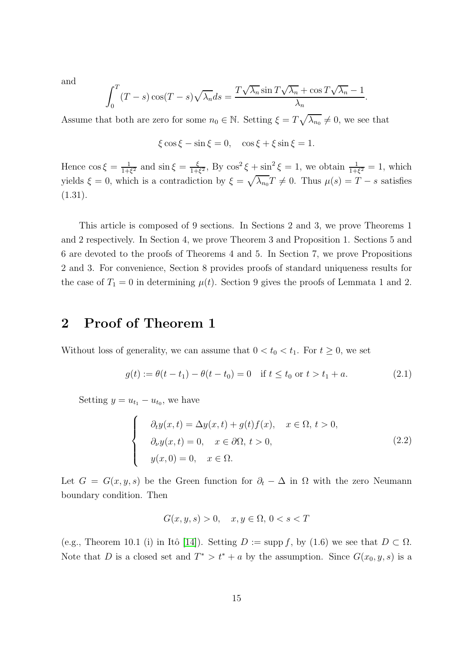and

$$
\int_0^T (T - s) \cos(T - s) \sqrt{\lambda_n} ds = \frac{T \sqrt{\lambda_n} \sin T \sqrt{\lambda_n} + \cos T \sqrt{\lambda_n} - 1}{\lambda_n}
$$

.

Assume that both are zero for some  $n_0 \in \mathbb{N}$ . Setting  $\xi = T\sqrt{\lambda_{n_0}} \neq 0$ , we see that

 $\xi$  cos  $\xi$  – sin  $\xi$  = 0, cos  $\xi$  +  $\xi$  sin  $\xi$  = 1.

Hence  $\cos \xi = \frac{1}{1+\xi}$  $\frac{1}{1+\xi^2}$  and  $\sin \xi = \frac{\xi}{1+\xi}$  $\frac{\xi}{1+\xi^2}$ , By  $\cos^2 \xi + \sin^2 \xi = 1$ , we obtain  $\frac{1}{1+\xi^2} = 1$ , which yields  $\xi = 0$ , which is a contradiction by  $\xi = \sqrt{\lambda_{n_0}}T \neq 0$ . Thus  $\mu(s) = T - s$  satisfies (1.31).

This article is composed of 9 sections. In Sections 2 and 3, we prove Theorems 1 and 2 respectively. In Section 4, we prove Theorem 3 and Proposition 1. Sections 5 and 6 are devoted to the proofs of Theorems 4 and 5. In Section 7, we prove Propositions 2 and 3. For convenience, Section 8 provides proofs of standard uniqueness results for the case of  $T_1 = 0$  in determining  $\mu(t)$ . Section 9 gives the proofs of Lemmata 1 and 2.

### 2 Proof of Theorem 1

Without loss of generality, we can assume that  $0 < t_0 < t_1$ . For  $t \geq 0$ , we set

$$
g(t) := \theta(t - t_1) - \theta(t - t_0) = 0 \quad \text{if } t \le t_0 \text{ or } t > t_1 + a. \tag{2.1}
$$

Setting  $y = u_{t_1} - u_{t_0}$ , we have

$$
\begin{cases}\n\partial_t y(x,t) = \Delta y(x,t) + g(t)f(x), & x \in \Omega, t > 0, \\
\partial_\nu y(x,t) = 0, & x \in \partial\Omega, t > 0, \\
y(x,0) = 0, & x \in \Omega.\n\end{cases}
$$
\n(2.2)

Let  $G = G(x, y, s)$  be the Green function for  $\partial_t - \Delta$  in  $\Omega$  with the zero Neumann boundary condition. Then

$$
G(x, y, s) > 0, \quad x, y \in \Omega, \, 0 < s < T
$$

(e.g., Theorem 10.1 (i) in Itô [\[14\]](#page-37-7)). Setting  $D := \text{supp } f$ , by (1.6) we see that  $D \subset \Omega$ . Note that D is a closed set and  $T^* > t^* + a$  by the assumption. Since  $G(x_0, y, s)$  is a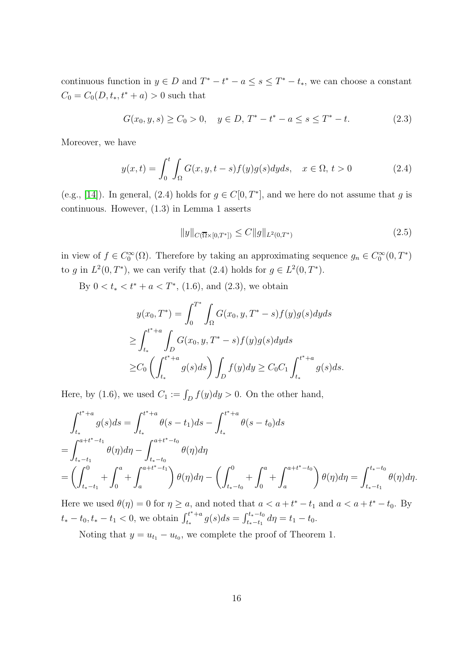continuous function in  $y \in D$  and  $T^* - t^* - a \leq s \leq T^* - t_*$ , we can choose a constant  $C_0 = C_0(D, t_*, t^* + a) > 0$  such that

$$
G(x_0, y, s) \ge C_0 > 0, \quad y \in D, T^* - t^* - a \le s \le T^* - t. \tag{2.3}
$$

Moreover, we have

$$
y(x,t) = \int_0^t \int_{\Omega} G(x,y,t-s)f(y)g(s)dyds, \quad x \in \Omega, t > 0
$$
 (2.4)

(e.g., [\[14\]](#page-37-7)). In general, (2.4) holds for  $g \in C[0, T^*]$ , and we here do not assume that g is continuous. However, (1.3) in Lemma 1 asserts

$$
||y||_{C(\overline{\Omega}\times[0,T^*])} \le C||g||_{L^2(0,T^*)}
$$
\n(2.5)

in view of  $f \in C_0^{\infty}(\Omega)$ . Therefore by taking an approximating sequence  $g_n \in C_0^{\infty}(0,T^*)$ to g in  $L^2(0,T^*)$ , we can verify that  $(2.4)$  holds for  $g \in L^2(0,T^*)$ .

By  $0 < t_* < t^* + a < T^*$ , (1.6), and (2.3), we obtain

$$
y(x_0, T^*) = \int_0^{T^*} \int_{\Omega} G(x_0, y, T^* - s) f(y) g(s) dy ds
$$
  
\n
$$
\geq \int_{t_*}^{t^* + a} \int_{D} G(x_0, y, T^* - s) f(y) g(s) dy ds
$$
  
\n
$$
\geq C_0 \left( \int_{t_*}^{t^* + a} g(s) ds \right) \int_{D} f(y) dy \geq C_0 C_1 \int_{t_*}^{t^* + a} g(s) ds.
$$

Here, by (1.6), we used  $C_1 := \int_D f(y) dy > 0$ . On the other hand,

$$
\int_{t_*}^{t^*+a} g(s)ds = \int_{t_*}^{t^*+a} \theta(s-t_1)ds - \int_{t_*}^{t^*+a} \theta(s-t_0)ds
$$
  
= 
$$
\int_{t_*-t_1}^{a+t^*-t_1} \theta(\eta)d\eta - \int_{t_*-t_0}^{a+t^*-t_0} \theta(\eta)d\eta
$$
  
= 
$$
\left(\int_{t_*-t_1}^0 + \int_0^a + \int_a^{a+t^*-t_1} \right) \theta(\eta)d\eta - \left(\int_{t_*-t_0}^0 + \int_a^a + \int_a^{a+t^*-t_0} \right) \theta(\eta)d\eta = \int_{t_*-t_1}^{t_*-t_0} \theta(\eta)d\eta.
$$

Here we used  $\theta(\eta) = 0$  for  $\eta \ge a$ , and noted that  $a < a + t^* - t_1$  and  $a < a + t^* - t_0$ . By  $t_* - t_0, t_* - t_1 < 0$ , we obtain  $\int_{t_*}^{t^* + a}$  $\int_{t_*}^{t_*+a} g(s)ds = \int_{t_*-t_1}^{t_*-t_0}$  $t_{i_*-t_1}^{t_*-t_0} d\eta = t_1 - t_0.$ 

Noting that  $y = u_{t_1} - u_{t_0}$ , we complete the proof of Theorem 1.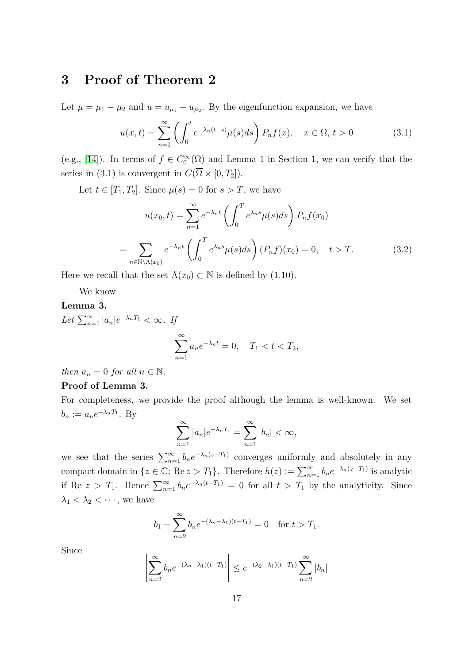### 3 Proof of Theorem 2

Let  $\mu = \mu_1 - \mu_2$  and  $u = u_{\mu_1} - u_{\mu_2}$ . By the eigenfunction expansion, we have

$$
u(x,t) = \sum_{n=1}^{\infty} \left( \int_0^t e^{-\lambda_n(t-s)} \mu(s) ds \right) P_n f(x), \quad x \in \Omega, t > 0 \tag{3.1}
$$

(e.g., [\[14\]](#page-37-7)). In terms of  $f \in C_0^{\infty}(\Omega)$  and Lemma 1 in Section 1, we can verify that the series in (3.1) is convergent in  $C(\overline{\Omega} \times [0, T_2])$ .

Let  $t \in [T_1, T_2]$ . Since  $\mu(s) = 0$  for  $s > T$ , we have

$$
u(x_0, t) = \sum_{n=1}^{\infty} e^{-\lambda_n t} \left( \int_0^T e^{\lambda_n s} \mu(s) ds \right) P_n f(x_0)
$$

$$
= \sum_{n \in \mathbb{N} \backslash \Lambda(x_0)} e^{-\lambda_n t} \left( \int_0^T e^{\lambda_n s} \mu(s) ds \right) (P_n f)(x_0) = 0, \quad t > T. \tag{3.2}
$$

Here we recall that the set  $\Lambda(x_0) \subset \mathbb{N}$  is defined by (1.10).

We know

#### Lemma 3.

Let  $\sum_{n=1}^{\infty} |a_n|e^{-\lambda_n T_1} < \infty$ . If  $\sum_{i=1}^{\infty}$  $n=1$  $a_n e^{-\lambda_n t} = 0, \quad T_1 < t < T_2,$ 

then  $a_n = 0$  for all  $n \in \mathbb{N}$ .

#### Proof of Lemma 3.

For completeness, we provide the proof although the lemma is well-known. We set  $b_n := a_n e^{-\lambda_n T_1}$ . By

$$
\sum_{n=1}^{\infty} |a_n| e^{-\lambda_n T_1} = \sum_{n=1}^{\infty} |b_n| < \infty,
$$

we see that the series  $\sum_{n=1}^{\infty} b_n e^{-\lambda_n(z-T_1)}$  converges uniformly and absolutely in any compact domain in  $\{z \in \mathbb{C}; \text{Re } z > T_1\}$ . Therefore  $h(z) := \sum_{n=1}^{\infty} b_n e^{-\lambda_n(z-T_1)}$  is analytic if Re  $z > T_1$ . Hence  $\sum_{n=1}^{\infty} b_n e^{-\lambda_n(t-T_1)} = 0$  for all  $t > T_1$  by the analyticity. Since  $\lambda_1 < \lambda_2 < \cdots$ , we have

$$
b_1 + \sum_{n=2}^{\infty} b_n e^{-(\lambda_n - \lambda_1)(t - T_1)} = 0
$$
 for  $t > T_1$ .

Since

$$
\left| \sum_{n=2}^{\infty} b_n e^{-(\lambda_n - \lambda_1)(t - T_1)} \right| \le e^{-(\lambda_2 - \lambda_1)(t - T_1)} \sum_{n=2}^{\infty} |b_n|
$$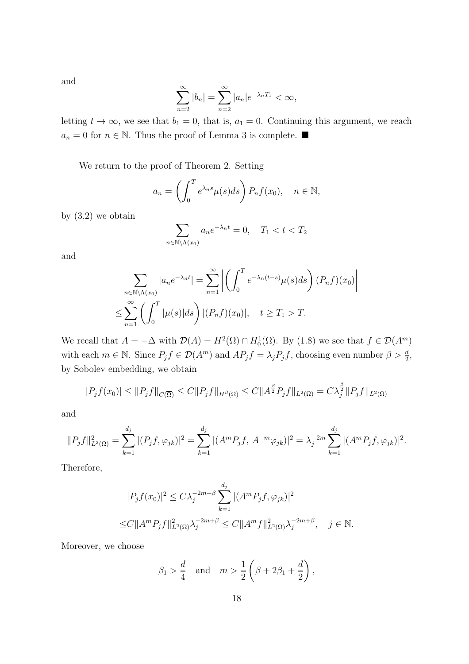and

$$
\sum_{n=2}^{\infty} |b_n| = \sum_{n=2}^{\infty} |a_n| e^{-\lambda_n T_1} < \infty,
$$

letting  $t \to \infty$ , we see that  $b_1 = 0$ , that is,  $a_1 = 0$ . Continuing this argument, we reach  $a_n = 0$  for  $n \in \mathbb{N}$ . Thus the proof of Lemma 3 is complete. ■

We return to the proof of Theorem 2. Setting

$$
a_n = \left(\int_0^T e^{\lambda_n s} \mu(s) ds\right) P_n f(x_0), \quad n \in \mathbb{N},
$$

by  $(3.2)$  we obtain

$$
\sum_{n \in \mathbb{N} \backslash \Lambda(x_0)} a_n e^{-\lambda_n t} = 0, \quad T_1 < t < T_2
$$

and

$$
\sum_{n \in \mathbb{N} \backslash \Lambda(x_0)} |a_n e^{-\lambda_n t}| = \sum_{n=1}^{\infty} \left| \left( \int_0^T e^{-\lambda_n (t-s)} \mu(s) ds \right) (P_n f)(x_0) \right|
$$
  

$$
\leq \sum_{n=1}^{\infty} \left( \int_0^T |\mu(s)| ds \right) |(P_n f)(x_0)|, \quad t \geq T_1 > T.
$$

We recall that  $A = -\Delta$  with  $\mathcal{D}(A) = H^2(\Omega) \cap H_0^1(\Omega)$ . By (1.8) we see that  $f \in \mathcal{D}(A^m)$ with each  $m \in \mathbb{N}$ . Since  $P_j f \in \mathcal{D}(A^m)$  and  $AP_j f = \lambda_j P_j f$ , choosing even number  $\beta > \frac{d}{2}$ , by Sobolev embedding, we obtain

$$
|P_j f(x_0)| \leq \|P_j f\|_{C(\overline{\Omega})} \leq C \|P_j f\|_{H^{\beta}(\Omega)} \leq C \|A^{\frac{\beta}{2}} P_j f\|_{L^2(\Omega)} = C \lambda_j^{\frac{\beta}{2}} \|P_j f\|_{L^2(\Omega)}
$$

and

$$
||P_j f||_{L^2(\Omega)}^2 = \sum_{k=1}^{d_j} |(P_j f, \varphi_{jk})|^2 = \sum_{k=1}^{d_j} |(A^m P_j f, A^{-m} \varphi_{jk})|^2 = \lambda_j^{-2m} \sum_{k=1}^{d_j} |(A^m P_j f, \varphi_{jk})|^2.
$$

Therefore,

$$
|P_j f(x_0)|^2 \le C\lambda_j^{-2m+\beta} \sum_{k=1}^{d_j} |(A^m P_j f, \varphi_{jk})|^2
$$
  
 
$$
\le C \|A^m P_j f\|_{L^2(\Omega)}^2 \lambda_j^{-2m+\beta} \le C \|A^m f\|_{L^2(\Omega)}^2 \lambda_j^{-2m+\beta}, \quad j \in \mathbb{N}.
$$

Moreover, we choose

$$
\beta_1 > \frac{d}{4}
$$
 and  $m > \frac{1}{2} \left( \beta + 2\beta_1 + \frac{d}{2} \right)$ ,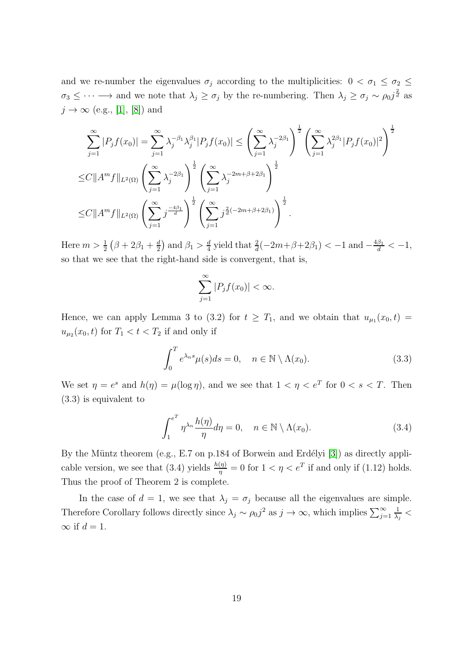and we re-number the eigenvalues  $\sigma_j$  according to the multiplicities:  $0 < \sigma_1 \leq \sigma_2 \leq$  $\sigma_3 \leq \cdots \longrightarrow$  and we note that  $\lambda_j \geq \sigma_j$  by the re-numbering. Then  $\lambda_j \geq \sigma_j \sim \rho_0 j^{\frac{2}{d}}$  as  $j \rightarrow \infty$  (e.g., [\[1\]](#page-36-0), [\[8\]](#page-37-5)) and

$$
\sum_{j=1}^{\infty} |P_j f(x_0)| = \sum_{j=1}^{\infty} \lambda_j^{-\beta_1} \lambda_j^{\beta_1} |P_j f(x_0)| \le \left(\sum_{j=1}^{\infty} \lambda_j^{-2\beta_1}\right)^{\frac{1}{2}} \left(\sum_{j=1}^{\infty} \lambda_j^{2\beta_1} |P_j f(x_0)|^2\right)^{\frac{1}{2}}
$$
  
\n
$$
\le C \|A^m f\|_{L^2(\Omega)} \left(\sum_{j=1}^{\infty} \lambda_j^{-2\beta_1}\right)^{\frac{1}{2}} \left(\sum_{j=1}^{\infty} \lambda_j^{-2m+\beta+2\beta_1}\right)^{\frac{1}{2}}
$$
  
\n
$$
\le C \|A^m f\|_{L^2(\Omega)} \left(\sum_{j=1}^{\infty} j^{\frac{-4\beta_1}{d}}\right)^{\frac{1}{2}} \left(\sum_{j=1}^{\infty} j^{\frac{2}{d}(-2m+\beta+2\beta_1)}\right)^{\frac{1}{2}}.
$$

Here  $m > \frac{1}{2} (\beta + 2\beta_1 + \frac{d}{2})$  $\frac{d}{2}$  and  $\beta_1 > \frac{d}{4}$  $\frac{d}{4}$  yield that  $\frac{2}{d}(-2m+\beta+2\beta_1) < -1$  and  $-\frac{4\beta_1}{d} < -1$ , so that we see that the right-hand side is convergent, that is,

$$
\sum_{j=1}^{\infty} |P_j f(x_0)| < \infty.
$$

Hence, we can apply Lemma 3 to (3.2) for  $t \geq T_1$ , and we obtain that  $u_{\mu_1}(x_0, t) =$  $u_{\mu_2}(x_0, t)$  for  $T_1 < t < T_2$  if and only if

$$
\int_0^T e^{\lambda_n s} \mu(s) ds = 0, \quad n \in \mathbb{N} \setminus \Lambda(x_0).
$$
 (3.3)

We set  $\eta = e^s$  and  $h(\eta) = \mu(\log \eta)$ , and we see that  $1 < \eta < e^T$  for  $0 < s < T$ . Then (3.3) is equivalent to

$$
\int_{1}^{e^{T}} \eta^{\lambda_{n}} \frac{h(\eta)}{\eta} d\eta = 0, \quad n \in \mathbb{N} \setminus \Lambda(x_{0}).
$$
\n(3.4)

By the Müntz theorem (e.g., E.7 on p.184 of Borwein and Erdélyi  $[3]$ ) as directly applicable version, we see that (3.4) yields  $\frac{h(\eta)}{\eta} = 0$  for  $1 < \eta < e^T$  if and only if (1.12) holds. Thus the proof of Theorem 2 is complete.

In the case of  $d = 1$ , we see that  $\lambda_j = \sigma_j$  because all the eigenvalues are simple. Therefore Corollary follows directly since  $\lambda_j \sim \rho_0 j^2$  as  $j \to \infty$ , which implies  $\sum_{j=1}^{\infty}$ 1  $\frac{1}{\lambda_j} <$  $\infty$  if  $d=1$ .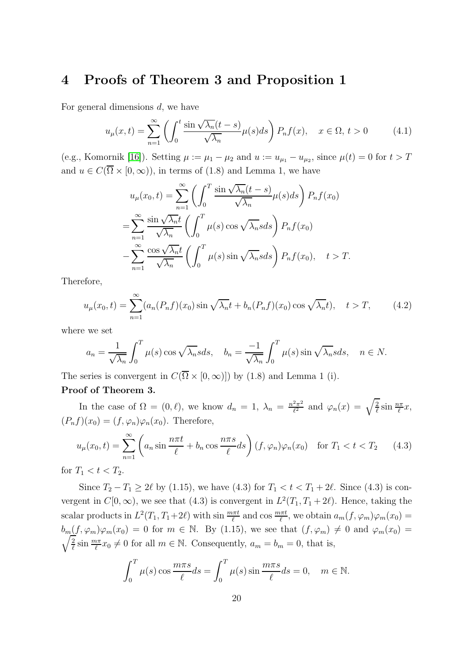### 4 Proofs of Theorem 3 and Proposition 1

For general dimensions d, we have

$$
u_{\mu}(x,t) = \sum_{n=1}^{\infty} \left( \int_0^t \frac{\sin\sqrt{\lambda_n}(t-s)}{\sqrt{\lambda_n}} \mu(s)ds \right) P_n f(x), \quad x \in \Omega, t > 0 \tag{4.1}
$$

(e.g., Komornik [\[16\]](#page-37-8)). Setting  $\mu := \mu_1 - \mu_2$  and  $u := u_{\mu_1} - u_{\mu_2}$ , since  $\mu(t) = 0$  for  $t > T$ and  $u \in C(\overline{\Omega} \times [0,\infty))$ , in terms of (1.8) and Lemma 1, we have

$$
u_{\mu}(x_0, t) = \sum_{n=1}^{\infty} \left( \int_0^T \frac{\sin \sqrt{\lambda_n}(t-s)}{\sqrt{\lambda_n}} \mu(s) ds \right) P_n f(x_0)
$$
  

$$
= \sum_{n=1}^{\infty} \frac{\sin \sqrt{\lambda_n}t}{\sqrt{\lambda_n}} \left( \int_0^T \mu(s) \cos \sqrt{\lambda_n} s ds \right) P_n f(x_0)
$$
  

$$
- \sum_{n=1}^{\infty} \frac{\cos \sqrt{\lambda_n}t}{\sqrt{\lambda_n}} \left( \int_0^T \mu(s) \sin \sqrt{\lambda_n} s ds \right) P_n f(x_0), \quad t > T.
$$

Therefore,

$$
u_{\mu}(x_0, t) = \sum_{n=1}^{\infty} (a_n(P_n f)(x_0) \sin \sqrt{\lambda_n} t + b_n(P_n f)(x_0) \cos \sqrt{\lambda_n} t), \quad t > T,
$$
 (4.2)

where we set

$$
a_n = \frac{1}{\sqrt{\lambda_n}} \int_0^T \mu(s) \cos \sqrt{\lambda_n} s ds, \quad b_n = \frac{-1}{\sqrt{\lambda_n}} \int_0^T \mu(s) \sin \sqrt{\lambda_n} s ds, \quad n \in N.
$$

The series is convergent in  $C(\overline{\Omega} \times [0,\infty)])$  by (1.8) and Lemma 1 (i).

#### Proof of Theorem 3.

In the case of  $\Omega = (0, \ell)$ , we know  $d_n = 1$ ,  $\lambda_n = \frac{n^2 \pi^2}{\ell^2}$  $\frac{2\pi^2}{\ell^2}$  and  $\varphi_n(x) = \sqrt{\frac{2}{\ell}}$  $\frac{2}{\ell} \sin \frac{n\pi}{\ell} x,$  $(P_nf)(x_0) = (f, \varphi_n)\varphi_n(x_0)$ . Therefore,

$$
u_{\mu}(x_0, t) = \sum_{n=1}^{\infty} \left( a_n \sin \frac{n\pi t}{\ell} + b_n \cos \frac{n\pi s}{\ell} ds \right) (f, \varphi_n) \varphi_n(x_0) \quad \text{for } T_1 < t < T_2 \tag{4.3}
$$

for  $T_1 < t < T_2$ .

Since  $T_2 - T_1 \ge 2\ell$  by (1.15), we have (4.3) for  $T_1 < t < T_1 + 2\ell$ . Since (4.3) is convergent in  $C[0,\infty)$ , we see that (4.3) is convergent in  $L^2(T_1,T_1+2\ell)$ . Hence, taking the scalar products in  $L^2(T_1, T_1+2\ell)$  with sin  $\frac{m\pi t}{\ell}$  and cos  $\frac{m\pi t}{\ell}$ , we obtain  $a_m(f, \varphi_m)\varphi_m(x_0) =$  $b_m(f, \varphi_m)\varphi_m(x_0) = 0$  for  $m \in \mathbb{N}$ . By (1.15), we see that  $(f, \varphi_m) \neq 0$  and  $\varphi_m(x_0) =$ <br> $\sqrt{2} \sin m\pi x \neq 0$  for all  $m \in \mathbb{N}$ . Consequently,  $a_n = b_n = 0$ , that is 2  $\frac{2}{\ell} \sin \frac{m\pi}{\ell} x_0 \neq 0$  for all  $m \in \mathbb{N}$ . Consequently,  $a_m = b_m = 0$ , that is,

$$
\int_0^T \mu(s) \cos \frac{m\pi s}{\ell} ds = \int_0^T \mu(s) \sin \frac{m\pi s}{\ell} ds = 0, \quad m \in \mathbb{N}.
$$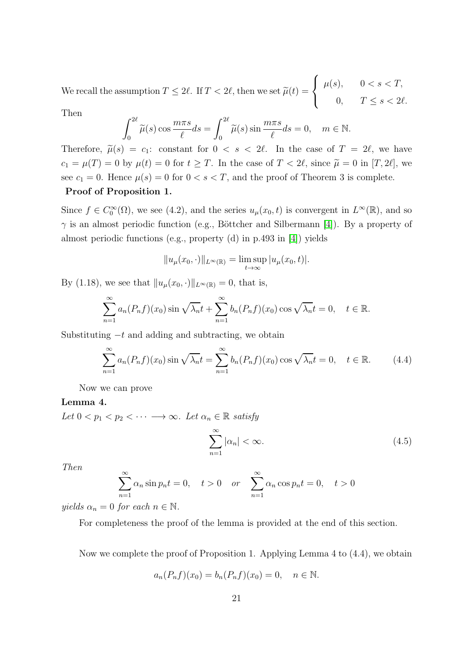We recall the assumption  $T \le 2\ell$ . If  $T < 2\ell$ , then we set  $\widetilde{\mu}(t) =$  $\sqrt{ }$  $\frac{1}{2}$  $\mathbf{I}$  $\mu(s), \qquad 0 < s < T,$ 0,  $T \leq s < 2\ell$ .

Then

$$
\int_0^{2\ell} \widetilde{\mu}(s) \cos \frac{m\pi s}{\ell} ds = \int_0^{2\ell} \widetilde{\mu}(s) \sin \frac{m\pi s}{\ell} ds = 0, \quad m \in \mathbb{N}.
$$

Therefore,  $\tilde{\mu}(s) = c_1$ : constant for  $0 < s < 2\ell$ . In the case of  $T = 2\ell$ , we have  $c_1 = \mu(T) = 0$  by  $\mu(t) = 0$  for  $t \geq T$ . In the case of  $T < 2\ell$ , since  $\tilde{\mu} = 0$  in  $[T, 2\ell]$ , we see  $c_1 = 0$ . Hence  $\mu(s) = 0$  for  $0 < s < T$ , and the proof of Theorem 3 is complete. Proof of Proposition 1.

Since  $f \in C_0^{\infty}(\Omega)$ , we see (4.2), and the series  $u_{\mu}(x_0, t)$  is convergent in  $L^{\infty}(\mathbb{R})$ , and so  $\gamma$  is an almost periodic function (e.g., Böttcher and Silbermann [\[4\]](#page-36-3)). By a property of almost periodic functions (e.g., property (d) in p.493 in [\[4\]](#page-36-3)) yields

$$
||u_{\mu}(x_0,\cdot)||_{L^{\infty}(\mathbb{R})} = \limsup_{t\to\infty} |u_{\mu}(x_0,t)|.
$$

By (1.18), we see that  $||u_{\mu}(x_0, \cdot)||_{L^{\infty}(\mathbb{R})} = 0$ , that is,

$$
\sum_{n=1}^{\infty} a_n(P_nf)(x_0) \sin \sqrt{\lambda_n} t + \sum_{n=1}^{\infty} b_n(P_nf)(x_0) \cos \sqrt{\lambda_n} t = 0, \quad t \in \mathbb{R}.
$$

Substituting  $-t$  and adding and subtracting, we obtain

$$
\sum_{n=1}^{\infty} a_n(P_n f)(x_0) \sin \sqrt{\lambda_n} t = \sum_{n=1}^{\infty} b_n(P_n f)(x_0) \cos \sqrt{\lambda_n} t = 0, \quad t \in \mathbb{R}.
$$
 (4.4)

Now we can prove

#### Lemma 4.

Let  $0 < p_1 < p_2 < \cdots \longrightarrow \infty$ . Let  $\alpha_n \in \mathbb{R}$  satisfy

$$
\sum_{n=1}^{\infty} |\alpha_n| < \infty. \tag{4.5}
$$

Then

$$
\sum_{n=1}^{\infty} \alpha_n \sin p_n t = 0, \quad t > 0 \quad or \quad \sum_{n=1}^{\infty} \alpha_n \cos p_n t = 0, \quad t > 0
$$

yields  $\alpha_n = 0$  for each  $n \in \mathbb{N}$ .

For completeness the proof of the lemma is provided at the end of this section.

Now we complete the proof of Proposition 1. Applying Lemma 4 to (4.4), we obtain

$$
a_n(P_nf)(x_0) = b_n(P_nf)(x_0) = 0, \quad n \in \mathbb{N}.
$$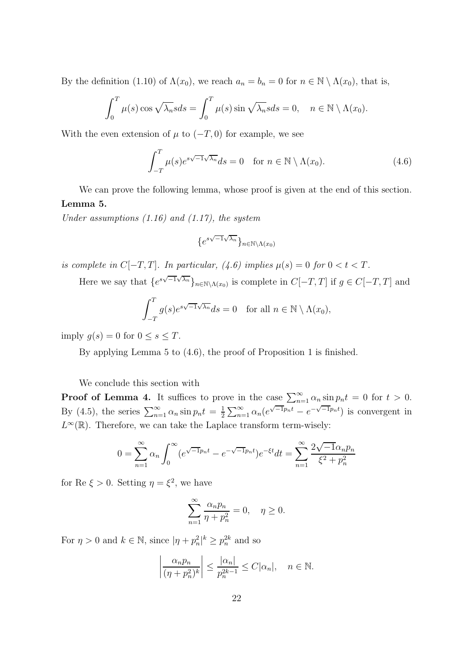By the definition (1.10) of  $\Lambda(x_0)$ , we reach  $a_n = b_n = 0$  for  $n \in \mathbb{N} \setminus \Lambda(x_0)$ , that is,

$$
\int_0^T \mu(s) \cos \sqrt{\lambda_n} s ds = \int_0^T \mu(s) \sin \sqrt{\lambda_n} s ds = 0, \quad n \in \mathbb{N} \setminus \Lambda(x_0).
$$

With the even extension of  $\mu$  to  $(-T, 0)$  for example, we see

$$
\int_{-T}^{T} \mu(s)e^{s\sqrt{-1}\sqrt{\lambda_n}} ds = 0 \quad \text{for } n \in \mathbb{N} \setminus \Lambda(x_0). \tag{4.6}
$$

We can prove the following lemma, whose proof is given at the end of this section. Lemma 5.

Under assumptions  $(1.16)$  and  $(1.17)$ , the system

$$
\{e^{s\sqrt{-1}\sqrt{\lambda_n}}\}_{n\in\mathbb{N}\backslash\Lambda(x_0)}
$$

is complete in  $C[-T, T]$ . In particular, (4.6) implies  $\mu(s) = 0$  for  $0 < t < T$ .

Here we say that  $\{e^{s\sqrt{-1}\sqrt{\lambda_n}}\}_{n\in\mathbb{N}\setminus\Lambda(x_0)}$  is complete in  $C[-T, T]$  if  $g \in C[-T, T]$  and

$$
\int_{-T}^{T} g(s)e^{s\sqrt{-1}\sqrt{\lambda_n}} ds = 0 \text{ for all } n \in \mathbb{N} \setminus \Lambda(x_0),
$$

imply  $g(s) = 0$  for  $0 \leq s \leq T$ .

By applying Lemma 5 to (4.6), the proof of Proposition 1 is finished.

We conclude this section with

**Proof of Lemma 4.** It suffices to prove in the case  $\sum_{n=1}^{\infty} \alpha_n \sin p_n t = 0$  for  $t > 0$ . By (4.5), the series  $\sum_{n=1}^{\infty} \alpha_n \sin p_n t = \frac{1}{2}$  $\frac{1}{2} \sum_{n=1}^{\infty} \alpha_n (e^{\sqrt{-1}p_n t} - e^{-\sqrt{-1}p_n t})$  is convergent in  $L^{\infty}(\mathbb{R})$ . Therefore, we can take the Laplace transform term-wisely:

$$
0 = \sum_{n=1}^{\infty} \alpha_n \int_0^{\infty} (e^{\sqrt{-1}p_n t} - e^{-\sqrt{-1}p_n t}) e^{-\xi t} dt = \sum_{n=1}^{\infty} \frac{2\sqrt{-1} \alpha_n p_n}{\xi^2 + p_n^2}
$$

for Re  $\xi > 0$ . Setting  $\eta = \xi^2$ , we have

$$
\sum_{n=1}^{\infty} \frac{\alpha_n p_n}{\eta + p_n^2} = 0, \quad \eta \ge 0.
$$

For  $\eta > 0$  and  $k \in \mathbb{N}$ , since  $|\eta + p_n^2|^k \ge p_n^{2k}$  and so

$$
\left|\frac{\alpha_n p_n}{(\eta + p_n^2)^k}\right| \le \frac{|\alpha_n|}{p_n^{2k-1}} \le C|\alpha_n|, \quad n \in \mathbb{N}.
$$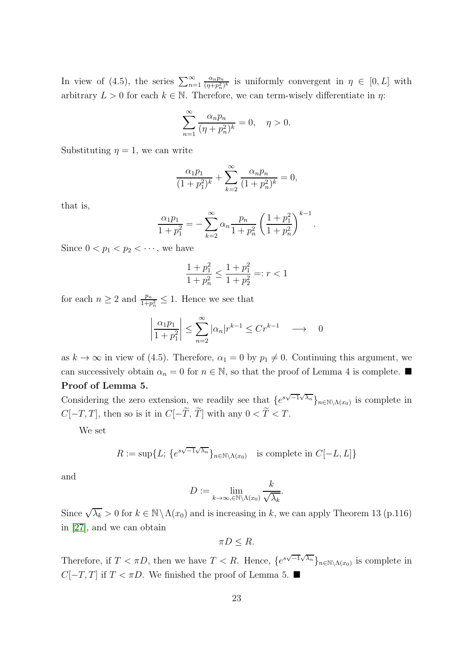In view of (4.5), the series  $\sum_{n=1}^{\infty}$  $\alpha_n p_n$  $\frac{\alpha_n p_n}{(\eta+p_n^2)^k}$  is uniformly convergent in  $\eta \in [0,L]$  with arbitrary  $L > 0$  for each  $k \in \mathbb{N}$ . Therefore, we can term-wisely differentiate in  $\eta$ :

$$
\sum_{n=1}^{\infty} \frac{\alpha_n p_n}{(\eta + p_n^2)^k} = 0, \quad \eta > 0.
$$

Substituting  $\eta = 1$ , we can write

$$
\frac{\alpha_1 p_1}{(1+p_1^2)^k} + \sum_{k=2}^{\infty} \frac{\alpha_n p_n}{(1+p_n^2)^k} = 0,
$$

that is,

$$
\frac{\alpha_1 p_1}{1 + p_1^2} = -\sum_{k=2}^{\infty} \alpha_k \frac{p_n}{1 + p_n^2} \left(\frac{1 + p_1^2}{1 + p_n^2}\right)^{k-1}.
$$

Since  $0 < p_1 < p_2 < \cdots$ , we have

$$
\frac{1+p_1^2}{1+p_n^2}\leq \frac{1+p_1^2}{1+p_2^2}=:r<1
$$

for each  $n \geq 2$  and  $\frac{p_n}{1+p_n^2} \leq 1$ . Hence we see that

$$
\left|\frac{\alpha_1 p_1}{1+p_1^2}\right| \le \sum_{n=2}^{\infty} |\alpha_n| r^{k-1} \le Cr^{k-1} \longrightarrow 0
$$

as  $k \to \infty$  in view of (4.5). Therefore,  $\alpha_1 = 0$  by  $p_1 \neq 0$ . Continuing this argument, we can successively obtain  $\alpha_n = 0$  for  $n \in \mathbb{N}$ , so that the proof of Lemma 4 is complete. Proof of Lemma 5.

Considering the zero extension, we readily see that  $\{e^{s\sqrt{-1}\sqrt{\lambda_n}}\}_{n\in\mathbb{N}\setminus\Lambda(x_0)}$  is complete in  $C[-T, T],$  then so is it in  $C[-\widetilde{T}, \widetilde{T}]$  with any  $0 < \widetilde{T} < T$ .

We set

$$
R := \sup \{ L; \{ e^{s\sqrt{-1}\sqrt{\lambda_n}} \}_{n \in \mathbb{N} \setminus \Lambda(x_0)} \text{ is complete in } C[-L, L] \}
$$

and

$$
D := \lim_{k \to \infty, \in \mathbb{N} \setminus \Lambda(x_0)} \frac{k}{\sqrt{\lambda_k}}.
$$

Since  $\sqrt{\lambda_k} > 0$  for  $k \in \mathbb{N} \setminus \Lambda(x_0)$  and is increasing in k, we can apply Theorem 13 (p.116) in [\[27\]](#page-38-5), and we can obtain

$$
\pi D \leq R.
$$

Therefore, if  $T < \pi D$ , then we have  $T < R$ . Hence,  $\{e^{s\sqrt{-1}\sqrt{\lambda n}}\}_{n \in \mathbb{N} \setminus \Lambda(x_0)}$  is complete in  $C[-T, T]$  if  $T < \pi D$ . We finished the proof of Lemma 5.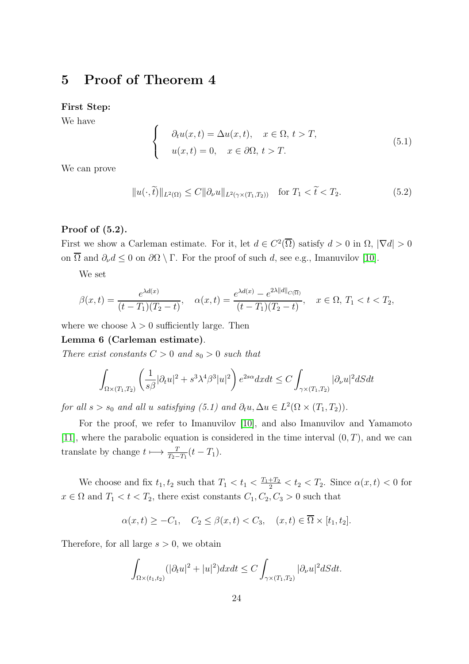### 5 Proof of Theorem 4

First Step:

We have

$$
\begin{cases}\n\partial_t u(x,t) = \Delta u(x,t), & x \in \Omega, \ t > T, \\
u(x,t) = 0, & x \in \partial\Omega, \ t > T.\n\end{cases}
$$
\n(5.1)

We can prove

$$
||u(\cdot,\tilde{t})||_{L^{2}(\Omega)} \leq C||\partial_{\nu}u||_{L^{2}(\gamma \times (T_{1},T_{2}))} \quad \text{for } T_{1} < \tilde{t} < T_{2}.
$$
 (5.2)

#### Proof of (5.2).

First we show a Carleman estimate. For it, let  $d \in C^2(\overline{\Omega})$  satisfy  $d > 0$  in  $\Omega$ ,  $|\nabla d| > 0$ on  $\overline{\Omega}$  and  $\partial_{\nu}d \leq 0$  on  $\partial\Omega \setminus \Gamma$ . For the proof of such d, see e.g., Imanuvilov [\[10\]](#page-37-9).

We set

$$
\beta(x,t) = \frac{e^{\lambda d(x)}}{(t-T_1)(T_2-t)}, \quad \alpha(x,t) = \frac{e^{\lambda d(x)} - e^{2\lambda ||d||_{C(\overline{\Omega})}}}{(t-T_1)(T_2-t)}, \quad x \in \Omega, T_1 < t < T_2,
$$

where we choose  $\lambda > 0$  sufficiently large. Then

Lemma 6 (Carleman estimate).

There exist constants  $C > 0$  and  $s_0 > 0$  such that

$$
\int_{\Omega \times (T_1, T_2)} \left( \frac{1}{s\beta} |\partial_t u|^2 + s^3 \lambda^4 \beta^3 |u|^2 \right) e^{2s\alpha} dx dt \le C \int_{\gamma \times (T_1, T_2)} |\partial_\nu u|^2 dS dt
$$

for all  $s > s_0$  and all u satisfying (5.1) and  $\partial_t u, \Delta u \in L^2(\Omega \times (T_1, T_2)).$ 

For the proof, we refer to Imanuvilov [\[10\]](#page-37-9), and also Imanuvilov and Yamamoto [\[11\]](#page-37-10), where the parabolic equation is considered in the time interval  $(0, T)$ , and we can translate by change  $t \mapsto \frac{T}{T_2-T_1}(t-T_1)$ .

We choose and fix  $t_1, t_2$  such that  $T_1 < t_1 < \frac{T_1+T_2}{2} < t_2 < T_2$ . Since  $\alpha(x, t) < 0$  for  $x\in\Omega$  and  $T_1 < t < T_2,$  there exist constants  $C_1, C_2, C_3 > 0$  such that

$$
\alpha(x,t) \geq -C_1, \quad C_2 \leq \beta(x,t) < C_3, \quad (x,t) \in \overline{\Omega} \times [t_1, t_2].
$$

Therefore, for all large  $s > 0$ , we obtain

$$
\int_{\Omega\times(t_1,t_2)}(|\partial_t u|^2+|u|^2)dxdt\leq C\int_{\gamma\times(T_1,T_2)}|\partial_\nu u|^2dSdt.
$$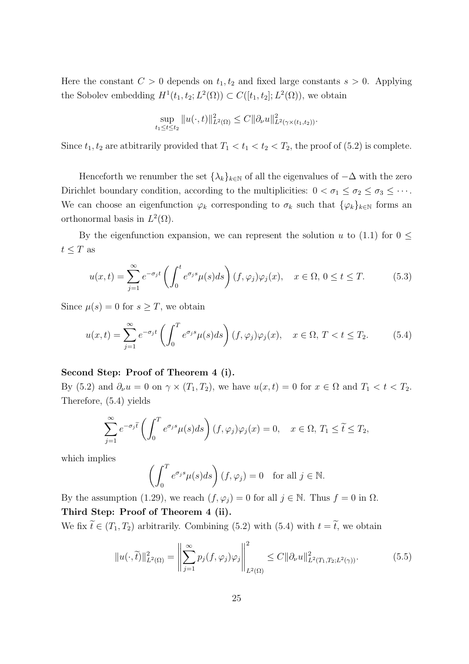Here the constant  $C > 0$  depends on  $t_1, t_2$  and fixed large constants  $s > 0$ . Applying the Sobolev embedding  $H^1(t_1, t_2; L^2(\Omega)) \subset C([t_1, t_2]; L^2(\Omega))$ , we obtain

$$
\sup_{t_1 \le t \le t_2} ||u(\cdot, t)||^2_{L^2(\Omega)} \le C ||\partial_\nu u||^2_{L^2(\gamma \times (t_1, t_2))}.
$$

Since  $t_1, t_2$  are atbitrarily provided that  $T_1 < t_1 < t_2 < T_2$ , the proof of (5.2) is complete.

Henceforth we renumber the set  $\{\lambda_k\}_{k\in\mathbb{N}}$  of all the eigenvalues of  $-\Delta$  with the zero Dirichlet boundary condition, according to the multiplicities:  $0 < \sigma_1 \leq \sigma_2 \leq \sigma_3 \leq \cdots$ . We can choose an eigenfunction  $\varphi_k$  corresponding to  $\sigma_k$  such that  $\{\varphi_k\}_{k\in\mathbb{N}}$  forms an orthonormal basis in  $L^2(\Omega)$ .

By the eigenfunction expansion, we can represent the solution u to (1.1) for  $0 \leq$  $t \leq T$  as

$$
u(x,t) = \sum_{j=1}^{\infty} e^{-\sigma_j t} \left( \int_0^t e^{\sigma_j s} \mu(s) ds \right) (f, \varphi_j) \varphi_j(x), \quad x \in \Omega, 0 \le t \le T. \tag{5.3}
$$

Since  $\mu(s) = 0$  for  $s \geq T$ , we obtain

$$
u(x,t) = \sum_{j=1}^{\infty} e^{-\sigma_j t} \left( \int_0^T e^{\sigma_j s} \mu(s) ds \right) (f, \varphi_j) \varphi_j(x), \quad x \in \Omega, \ T < t \le T_2. \tag{5.4}
$$

#### Second Step: Proof of Theorem 4 (i).

By (5.2) and  $\partial_{\nu}u = 0$  on  $\gamma \times (T_1, T_2)$ , we have  $u(x, t) = 0$  for  $x \in \Omega$  and  $T_1 < t < T_2$ . Therefore, (5.4) yields

$$
\sum_{j=1}^{\infty} e^{-\sigma_j \tilde{t}} \left( \int_0^T e^{\sigma_j s} \mu(s) ds \right) (f, \varphi_j) \varphi_j(x) = 0, \quad x \in \Omega, T_1 \le \tilde{t} \le T_2,
$$

which implies

$$
\left(\int_0^T e^{\sigma_j s} \mu(s) ds\right) (f, \varphi_j) = 0 \quad \text{for all } j \in \mathbb{N}.
$$

By the assumption (1.29), we reach  $(f, \varphi_j) = 0$  for all  $j \in \mathbb{N}$ . Thus  $f = 0$  in  $\Omega$ . Third Step: Proof of Theorem 4 (ii).

We fix  $\widetilde{t} \in (T_1, T_2)$  arbitrarily. Combining (5.2) with  $t = \widetilde{t}$ , we obtain

$$
||u(\cdot,\tilde{t})||_{L^{2}(\Omega)}^{2} = \left\|\sum_{j=1}^{\infty} p_{j}(f,\varphi_{j})\varphi_{j}\right\|_{L^{2}(\Omega)}^{2} \leq C||\partial_{\nu}u||_{L^{2}(T_{1},T_{2};L^{2}(\gamma))}^{2}.
$$
 (5.5)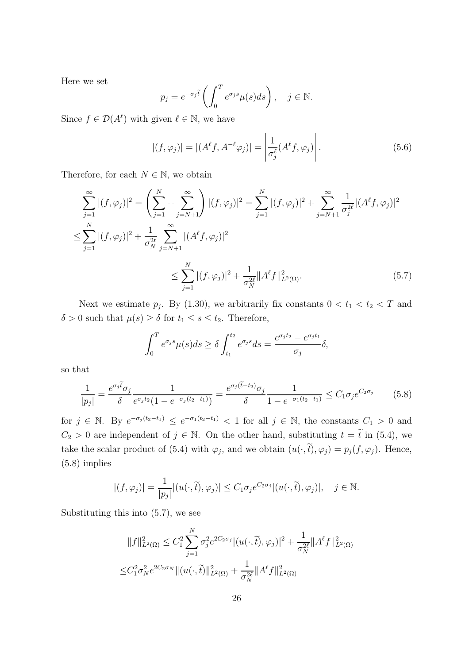Here we set

$$
p_j = e^{-\sigma_j \tilde{t}} \left( \int_0^T e^{\sigma_j s} \mu(s) ds \right), \quad j \in \mathbb{N}.
$$

Since  $f \in \mathcal{D}(A^{\ell})$  with given  $\ell \in \mathbb{N}$ , we have

$$
|(f, \varphi_j)| = |(A^{\ell}f, A^{-\ell}\varphi_j)| = \left|\frac{1}{\sigma_j^{\ell}}(A^{\ell}f, \varphi_j)\right|.
$$
 (5.6)

Therefore, for each  $N \in \mathbb{N}$ , we obtain

$$
\sum_{j=1}^{\infty} |(f, \varphi_j)|^2 = \left(\sum_{j=1}^N + \sum_{j=N+1}^{\infty}\right) |(f, \varphi_j)|^2 = \sum_{j=1}^N |(f, \varphi_j)|^2 + \sum_{j=N+1}^{\infty} \frac{1}{\sigma_j^{2\ell}} |(A^{\ell}f, \varphi_j)|^2
$$
  

$$
\leq \sum_{j=1}^N |(f, \varphi_j)|^2 + \frac{1}{\sigma_N^{2\ell}} \sum_{j=N+1}^N |(A^{\ell}f, \varphi_j)|^2
$$
  

$$
\leq \sum_{j=1}^N |(f, \varphi_j)|^2 + \frac{1}{\sigma_N^{2\ell}} \|A^{\ell}f\|_{L^2(\Omega)}^2.
$$
 (5.7)

Next we estimate  $p_j$ . By (1.30), we arbitrarily fix constants  $0 < t_1 < t_2 < T$  and  $\delta > 0$  such that  $\mu(s) \geq \delta$  for  $t_1 \leq s \leq t_2$ . Therefore,

$$
\int_0^T e^{\sigma_j s} \mu(s) ds \ge \delta \int_{t_1}^{t_2} e^{\sigma_j s} ds = \frac{e^{\sigma_j t_2} - e^{\sigma_j t_1}}{\sigma_j} \delta,
$$

so that

$$
\frac{1}{|p_j|} = \frac{e^{\sigma_j \tilde{t}} \sigma_j}{\delta} \frac{1}{e^{\sigma_j t_2} (1 - e^{-\sigma_j (t_2 - t_1)})} = \frac{e^{\sigma_j (\tilde{t} - t_2)} \sigma_j}{\delta} \frac{1}{1 - e^{-\sigma_1 (t_2 - t_1)}} \le C_1 \sigma_j e^{C_2 \sigma_j} \tag{5.8}
$$

for  $j \in \mathbb{N}$ . By  $e^{-\sigma_j(t_2-t_1)} \le e^{-\sigma_1(t_2-t_1)} < 1$  for all  $j \in \mathbb{N}$ , the constants  $C_1 > 0$  and  $C_2 > 0$  are independent of  $j \in \mathbb{N}$ . On the other hand, substituting  $t = \tilde{t}$  in (5.4), we take the scalar product of (5.4) with  $\varphi_j$ , and we obtain  $(u(\cdot, t), \varphi_j) = p_j(f, \varphi_j)$ . Hence, (5.8) implies

$$
|(f, \varphi_j)| = \frac{1}{|p_j|} |(u(\cdot, \tilde{t}), \varphi_j)| \le C_1 \sigma_j e^{C_2 \sigma_j} |(u(\cdot, \tilde{t}), \varphi_j)|, \quad j \in \mathbb{N}.
$$

Substituting this into (5.7), we see

$$
||f||_{L^{2}(\Omega)}^{2} \leq C_{1}^{2} \sum_{j=1}^{N} \sigma_{j}^{2} e^{2C_{2}\sigma_{j}} |(u(\cdot,\tilde{t}),\varphi_{j})|^{2} + \frac{1}{\sigma_{N}^{2\ell}} ||A^{\ell}f||_{L^{2}(\Omega)}^{2}
$$
  

$$
\leq C_{1}^{2} \sigma_{N}^{2} e^{2C_{2}\sigma_{N}} ||(u(\cdot,\tilde{t})||_{L^{2}(\Omega)}^{2} + \frac{1}{\sigma_{N}^{2\ell}} ||A^{\ell}f||_{L^{2}(\Omega)}^{2}
$$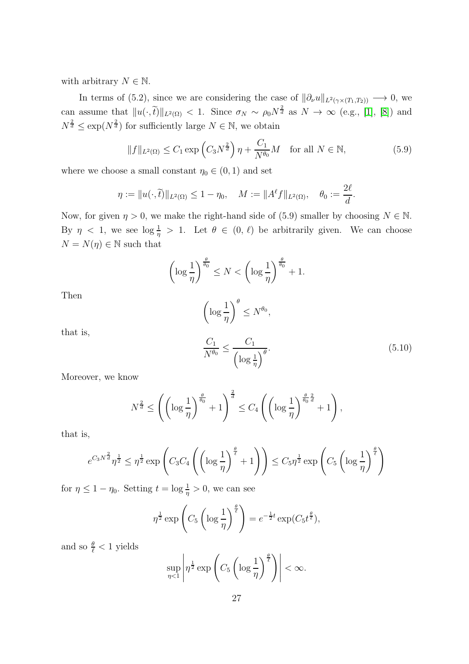with arbitrary  $N \in \mathbb{N}$ .

In terms of (5.2), since we are considering the case of  $\|\partial_\nu u\|_{L^2(\gamma \times (T_1,T_2))} \longrightarrow 0$ , we can assume that  $||u(\cdot,\tilde{t})||_{L^2(\Omega)} < 1$ . Since  $\sigma_N \sim \rho_0 N^{\frac{2}{d}}$  as  $N \to \infty$  (e.g., [\[1\]](#page-36-0), [\[8\]](#page-37-5)) and  $N^{\frac{2}{d}} \leq \exp(N^{\frac{2}{d}})$  for sufficiently large  $N \in \mathbb{N}$ , we obtain

$$
||f||_{L^{2}(\Omega)} \leq C_{1} \exp\left(C_{3} N^{\frac{2}{d}}\right) \eta + \frac{C_{1}}{N^{\theta_{0}}} M \quad \text{for all } N \in \mathbb{N}, \tag{5.9}
$$

where we choose a small constant  $\eta_0 \in (0, 1)$  and set

$$
\eta := \|u(\cdot, \tilde{t})\|_{L^2(\Omega)} \le 1 - \eta_0, \quad M := \|A^{\ell}f\|_{L^2(\Omega)}, \quad \theta_0 := \frac{2\ell}{d}.
$$

Now, for given  $\eta > 0$ , we make the right-hand side of (5.9) smaller by choosing  $N \in \mathbb{N}$ . By  $\eta$  < 1, we see  $\log \frac{1}{\eta} > 1$ . Let  $\theta \in (0, \ell)$  be arbitrarily given. We can choose  $N = N(\eta) \in \mathbb{N}$  such that

$$
\left(\log\frac{1}{\eta}\right)^{\frac{\theta}{\theta_0}} \le N < \left(\log\frac{1}{\eta}\right)^{\frac{\theta}{\theta_0}} + 1.
$$

Then

that is,

$$
\left(\log\frac{1}{\eta}\right)^{\theta} \le N^{\theta_0},
$$
  

$$
\frac{C_1}{N^{\theta_0}} \le \frac{C_1}{\left(\log\frac{1}{\eta}\right)^{\theta}}.
$$
 (5.10)

Moreover, we know

$$
N^{\frac{2}{d}} \le \left( \left( \log \frac{1}{\eta} \right)^{\frac{\theta}{\theta_0}} + 1 \right)^{\frac{2}{d}} \le C_4 \left( \left( \log \frac{1}{\eta} \right)^{\frac{\theta}{\theta_0} \frac{2}{d}} + 1 \right),
$$

that is,

$$
e^{C_3 N^{\frac{2}{d}}}\eta^{\frac{1}{2}} \leq \eta^{\frac{1}{2}} \exp\left(C_3 C_4 \left(\left(\log \frac{1}{\eta}\right)^{\frac{\theta}{\ell}} + 1\right)\right) \leq C_5 \eta^{\frac{1}{2}} \exp\left(C_5 \left(\log \frac{1}{\eta}\right)^{\frac{\theta}{\ell}}\right)
$$

for  $\eta \leq 1 - \eta_0$ . Setting  $t = \log \frac{1}{\eta} > 0$ , we can see

$$
\eta^{\frac{1}{2}} \exp\left(C_5 \left(\log \frac{1}{\eta}\right)^{\frac{\theta}{\ell}}\right) = e^{-\frac{1}{2}t} \exp(C_5 t^{\frac{\theta}{\ell}}),
$$

and so  $\frac{\theta}{\ell} < 1$  yields

$$
\sup_{\eta < 1} \left| \eta^{\frac{1}{2}} \exp\left( C_5 \left( \log \frac{1}{\eta} \right)^{\frac{\theta}{\ell}} \right) \right| < \infty.
$$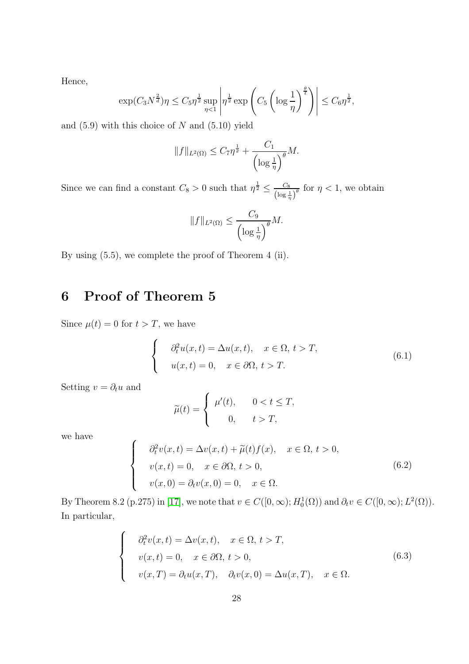Hence,

$$
\exp(C_3 N^{\frac{2}{d}})\eta \le C_5 \eta^{\frac{1}{2}} \sup_{\eta < 1} \left| \eta^{\frac{1}{2}} \exp\left(C_5 \left(\log \frac{1}{\eta}\right)^{\frac{\theta}{\ell}}\right) \right| \le C_6 \eta^{\frac{1}{2}},
$$

and  $(5.9)$  with this choice of N and  $(5.10)$  yield

$$
||f||_{L^2(\Omega)} \leq C_7 \eta^{\frac{1}{2}} + \frac{C_1}{\left(\log \frac{1}{\eta}\right)^{\theta}} M.
$$

Since we can find a constant  $C_8 > 0$  such that  $\eta^{\frac{1}{2}} \leq \frac{C_8}{\sqrt{\log 2}}$  $\frac{C_8}{(\log \frac{1}{\eta})^{\theta}}$  for  $\eta < 1$ , we obtain

$$
||f||_{L^2(\Omega)} \le \frac{C_9}{\left(\log\frac{1}{\eta}\right)^{\theta}}M.
$$

By using (5.5), we complete the proof of Theorem 4 (ii).

## 6 Proof of Theorem 5

Since  $\mu(t) = 0$  for  $t > T$ , we have

 $\sqrt{ }$  $\int$ 

 $\overline{\mathcal{L}}$ 

$$
\begin{cases}\n\partial_t^2 u(x,t) = \Delta u(x,t), & x \in \Omega, \ t > T, \\
u(x,t) = 0, & x \in \partial\Omega, \ t > T.\n\end{cases}
$$
\n(6.1)

Setting  $v = \partial_t u$  and

$$
\widetilde{\mu}(t) = \begin{cases} \mu'(t), & 0 < t \le T, \\ 0, & t > T, \end{cases}
$$

we have

$$
\partial_t^2 v(x,t) = \Delta v(x,t) + \tilde{\mu}(t) f(x), \quad x \in \Omega, t > 0,
$$
  

$$
v(x,t) = 0, \quad x \in \partial\Omega, t > 0,
$$
  

$$
v(x,0) = \partial_t v(x,0) = 0, \quad x \in \Omega.
$$
 (6.2)

By Theorem 8.2 (p.275) in [\[17\]](#page-37-1), we note that  $v \in C([0,\infty); H_0^1(\Omega))$  and  $\partial_t v \in C([0,\infty); L^2(\Omega))$ . In particular,

$$
\begin{cases}\n\partial_t^2 v(x,t) = \Delta v(x,t), & x \in \Omega, \ t > T, \\
v(x,t) = 0, & x \in \partial\Omega, \ t > 0, \\
v(x,T) = \partial_t u(x,T), & \partial_t v(x,0) = \Delta u(x,T), \quad x \in \Omega.\n\end{cases}
$$
\n(6.3)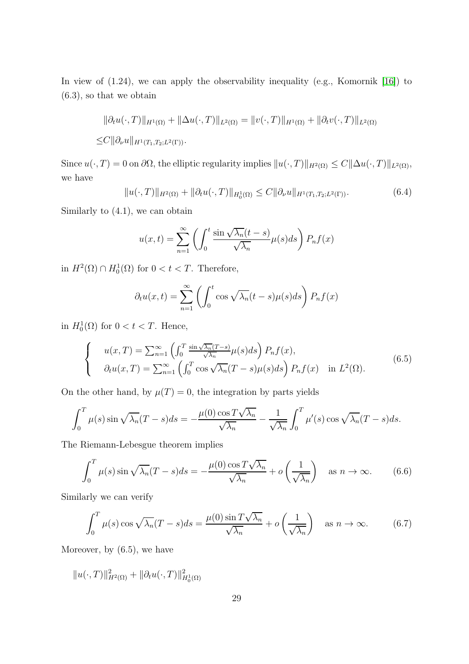In view of  $(1.24)$ , we can apply the observability inequality (e.g., Komornik [\[16\]](#page-37-8)) to (6.3), so that we obtain

$$
\|\partial_t u(\cdot, T)\|_{H^1(\Omega)} + \|\Delta u(\cdot, T)\|_{L^2(\Omega)} = \|v(\cdot, T)\|_{H^1(\Omega)} + \|\partial_t v(\cdot, T)\|_{L^2(\Omega)}
$$
  

$$
\leq C \|\partial_\nu u\|_{H^1(T_1, T_2; L^2(\Gamma))}.
$$

Since  $u(\cdot, T) = 0$  on  $\partial\Omega$ , the elliptic regularity implies  $||u(\cdot, T)||_{H^2(\Omega)} \leq C||\Delta u(\cdot, T)||_{L^2(\Omega)}$ , we have

$$
||u(\cdot,T)||_{H^2(\Omega)} + ||\partial_t u(\cdot,T)||_{H_0^1(\Omega)} \leq C ||\partial_\nu u||_{H^1(T_1,T_2;L^2(\Gamma))}.
$$
\n(6.4)

Similarly to (4.1), we can obtain

$$
u(x,t) = \sum_{n=1}^{\infty} \left( \int_0^t \frac{\sin\sqrt{\lambda_n}(t-s)}{\sqrt{\lambda_n}} \mu(s)ds \right) P_n f(x)
$$

in  $H^2(\Omega) \cap H_0^1(\Omega)$  for  $0 < t < T$ . Therefore,

$$
\partial_t u(x,t) = \sum_{n=1}^{\infty} \left( \int_0^t \cos \sqrt{\lambda_n} (t-s) \mu(s) ds \right) P_n f(x)
$$

in  $H_0^1(\Omega)$  for  $0 < t < T$ . Hence,

$$
\begin{cases}\n u(x,T) = \sum_{n=1}^{\infty} \left( \int_0^T \frac{\sin\sqrt{\lambda_n}(T-s)}{\sqrt{\lambda_n}} \mu(s) ds \right) P_n f(x), \\
 \partial_t u(x,T) = \sum_{n=1}^{\infty} \left( \int_0^T \cos\sqrt{\lambda_n}(T-s) \mu(s) ds \right) P_n f(x) \quad \text{in } L^2(\Omega). \n\end{cases} \tag{6.5}
$$

On the other hand, by  $\mu(T) = 0$ , the integration by parts yields

$$
\int_0^T \mu(s) \sin \sqrt{\lambda_n} (T - s) ds = -\frac{\mu(0) \cos T \sqrt{\lambda_n}}{\sqrt{\lambda_n}} - \frac{1}{\sqrt{\lambda_n}} \int_0^T \mu'(s) \cos \sqrt{\lambda_n} (T - s) ds.
$$

The Riemann-Lebesgue theorem implies

$$
\int_0^T \mu(s) \sin \sqrt{\lambda_n} (T - s) ds = -\frac{\mu(0) \cos T \sqrt{\lambda_n}}{\sqrt{\lambda_n}} + o\left(\frac{1}{\sqrt{\lambda_n}}\right) \quad \text{as } n \to \infty. \tag{6.6}
$$

Similarly we can verify

$$
\int_0^T \mu(s) \cos \sqrt{\lambda_n} (T - s) ds = \frac{\mu(0) \sin T \sqrt{\lambda_n}}{\sqrt{\lambda_n}} + o\left(\frac{1}{\sqrt{\lambda_n}}\right) \quad \text{as } n \to \infty. \tag{6.7}
$$

Moreover, by (6.5), we have

 $||u(\cdot,T)||_{H^2(\Omega)}^2 + ||\partial_t u(\cdot,T)||_{H_0^1(\Omega)}^2$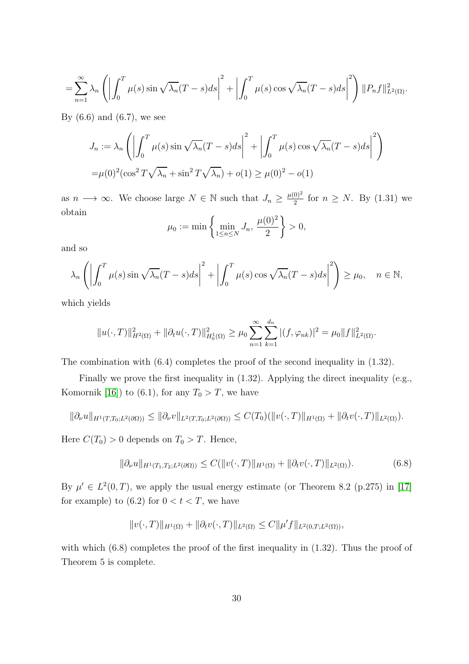$$
= \sum_{n=1}^{\infty} \lambda_n \left( \left| \int_0^T \mu(s) \sin \sqrt{\lambda_n} (T-s) ds \right|^2 + \left| \int_0^T \mu(s) \cos \sqrt{\lambda_n} (T-s) ds \right|^2 \right) ||P_n f||^2_{L^2(\Omega)}.
$$

By  $(6.6)$  and  $(6.7)$ , we see

$$
J_n := \lambda_n \left( \left| \int_0^T \mu(s) \sin \sqrt{\lambda_n} (T - s) ds \right|^2 + \left| \int_0^T \mu(s) \cos \sqrt{\lambda_n} (T - s) ds \right|^2 \right)
$$
  
= 
$$
\mu(0)^2 (\cos^2 T \sqrt{\lambda_n} + \sin^2 T \sqrt{\lambda_n}) + o(1) \ge \mu(0)^2 - o(1)
$$

as  $n \longrightarrow \infty$ . We choose large  $N \in \mathbb{N}$  such that  $J_n \geq \frac{\mu(0)^2}{2}$  $\frac{0)^2}{2}$  for  $n \geq N$ . By (1.31) we obtain

$$
\mu_0 := \min \left\{ \min_{1 \le n \le N} J_n, \frac{\mu(0)^2}{2} \right\} > 0,
$$

and so

$$
\lambda_n \left( \left| \int_0^T \mu(s) \sin \sqrt{\lambda_n} (T - s) ds \right|^2 + \left| \int_0^T \mu(s) \cos \sqrt{\lambda_n} (T - s) ds \right|^2 \right) \ge \mu_0, \quad n \in \mathbb{N},
$$

which yields

$$
||u(\cdot,T)||_{H^2(\Omega)}^2 + ||\partial_t u(\cdot,T)||_{H_0^1(\Omega)}^2 \ge \mu_0 \sum_{n=1}^{\infty} \sum_{k=1}^{d_n} |(f,\varphi_{nk})|^2 = \mu_0 ||f||_{L^2(\Omega)}^2.
$$

The combination with  $(6.4)$  completes the proof of the second inequality in  $(1.32)$ .

Finally we prove the first inequality in (1.32). Applying the direct inequality (e.g., Komornik [\[16\]](#page-37-8)) to (6.1), for any  $T_0 > T$ , we have

$$
\|\partial_{\nu}u\|_{H^1(T,T_0;L^2(\partial\Omega))} \le \|\partial_{\nu}v\|_{L^2(T,T_0;L^2(\partial\Omega))} \le C(T_0)(\|v(\cdot,T)\|_{H^1(\Omega)} + \|\partial_t v(\cdot,T)\|_{L^2(\Omega)}).
$$

Here  $C(T_0) > 0$  depends on  $T_0 > T$ . Hence,

$$
\|\partial_{\nu}u\|_{H^1(T_1, T_2; L^2(\partial\Omega))} \le C(\|v(\cdot, T)\|_{H^1(\Omega)} + \|\partial_t v(\cdot, T)\|_{L^2(\Omega)}).
$$
\n(6.8)

By  $\mu' \in L^2(0,T)$ , we apply the usual energy estimate (or Theorem 8.2 (p.275) in [\[17\]](#page-37-1) for example) to (6.2) for  $0 < t < T$ , we have

$$
||v(\cdot,T)||_{H^1(\Omega)} + ||\partial_t v(\cdot,T)||_{L^2(\Omega)} \leq C||\mu' f||_{L^2(0,T;L^2(\Omega))},
$$

with which  $(6.8)$  completes the proof of the first inequality in  $(1.32)$ . Thus the proof of Theorem 5 is complete.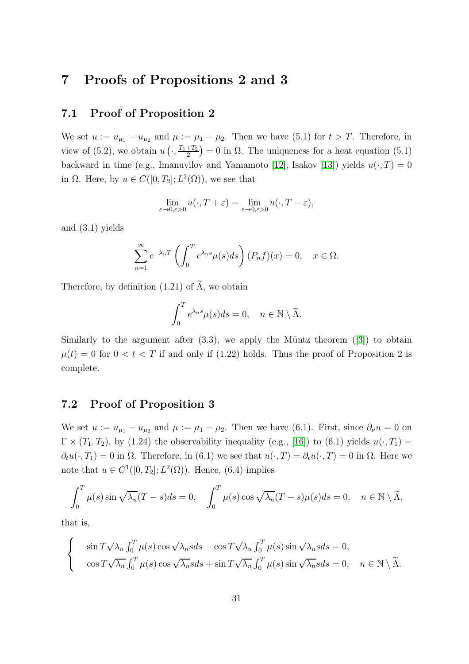### 7 Proofs of Propositions 2 and 3

#### 7.1 Proof of Proposition 2

We set  $u := u_{\mu_1} - u_{\mu_2}$  and  $\mu := \mu_1 - \mu_2$ . Then we have (5.1) for  $t > T$ . Therefore, in view of  $(5.2)$ , we obtain  $u\left(\cdot, \frac{T_1+T_2}{2}\right)$  $\left(\frac{+T_2}{2}\right) = 0$  in  $\Omega$ . The uniqueness for a heat equation (5.1) backward in time (e.g., Imanuvilov and Yamamoto [\[12\]](#page-37-11), Isakov [\[13\]](#page-37-12)) yields  $u(\cdot, T) = 0$ in  $\Omega$ . Here, by  $u \in C([0, T_2]; L^2(\Omega))$ , we see that

$$
\lim_{\varepsilon \to 0, \varepsilon > 0} u(\cdot, T + \varepsilon) = \lim_{\varepsilon \to 0, \varepsilon > 0} u(\cdot, T - \varepsilon),
$$

and (3.1) yields

$$
\sum_{n=1}^{\infty} e^{-\lambda_n T} \left( \int_0^T e^{\lambda_n s} \mu(s) ds \right) (P_n f)(x) = 0, \quad x \in \Omega.
$$

Therefore, by definition (1.21) of  $\widetilde{\Lambda}$ , we obtain

$$
\int_0^T e^{\lambda_n s} \mu(s) ds = 0, \quad n \in \mathbb{N} \setminus \widetilde{\Lambda}.
$$

Similarlyto the argument after  $(3.3)$ , we apply the Müntz theorem  $([3])$  $([3])$  $([3])$  to obtain  $\mu(t) = 0$  for  $0 < t < T$  if and only if (1.22) holds. Thus the proof of Proposition 2 is complete.

### 7.2 Proof of Proposition 3

We set  $u := u_{\mu_1} - u_{\mu_2}$  and  $\mu := \mu_1 - \mu_2$ . Then we have (6.1). First, since  $\partial_{\nu} u = 0$  on  $\Gamma \times (T_1, T_2)$ , by (1.24) the observability inequality (e.g., [\[16\]](#page-37-8)) to (6.1) yields  $u(\cdot, T_1) =$  $\partial_t u(\cdot, T_1) = 0$  in  $\Omega$ . Therefore, in (6.1) we see that  $u(\cdot, T) = \partial_t u(\cdot, T) = 0$  in  $\Omega$ . Here we note that  $u \in C^1([0, T_2]; L^2(\Omega))$ . Hence, (6.4) implies

$$
\int_0^T \mu(s) \sin \sqrt{\lambda_n} (T - s) ds = 0, \quad \int_0^T \mu(s) \cos \sqrt{\lambda_n} (T - s) \mu(s) ds = 0, \quad n \in \mathbb{N} \setminus \widetilde{\Lambda},
$$

that is,

$$
\begin{cases}\n\sin T \sqrt{\lambda_n} \int_0^T \mu(s) \cos \sqrt{\lambda_n} s ds - \cos T \sqrt{\lambda_n} \int_0^T \mu(s) \sin \sqrt{\lambda_n} s ds = 0, \\
\cos T \sqrt{\lambda_n} \int_0^T \mu(s) \cos \sqrt{\lambda_n} s ds + \sin T \sqrt{\lambda_n} \int_0^T \mu(s) \sin \sqrt{\lambda_n} s ds = 0, \quad n \in \mathbb{N} \setminus \widetilde{\Lambda}.\n\end{cases}
$$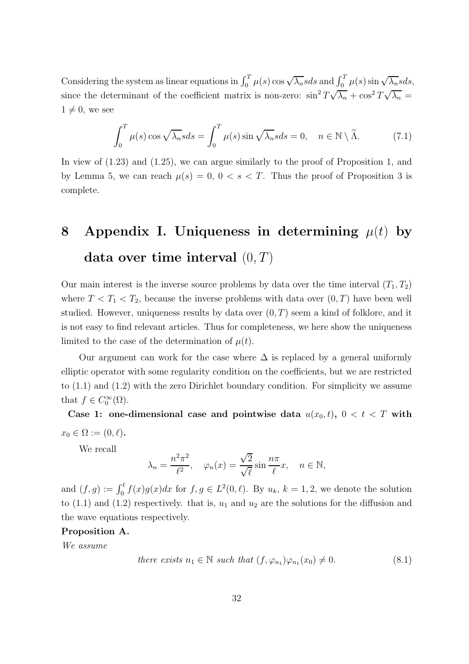Considering the system as linear equations in  $\int_0^T \mu(s) \cos \sqrt{\lambda_n} s ds$  and  $\int_0^T \mu(s) \sin \sqrt{\lambda_n} s ds$ , since the determinant of the coefficient matrix is non-zero:  $\sin^2 T \sqrt{\lambda_n} + \cos^2 T \sqrt{\lambda_n} =$  $1 \neq 0$ , we see

$$
\int_0^T \mu(s) \cos \sqrt{\lambda_n} s ds = \int_0^T \mu(s) \sin \sqrt{\lambda_n} s ds = 0, \quad n \in \mathbb{N} \setminus \tilde{\Lambda}.
$$
 (7.1)

In view of (1.23) and (1.25), we can argue similarly to the proof of Proposition 1, and by Lemma 5, we can reach  $\mu(s) = 0, 0 < s < T$ . Thus the proof of Proposition 3 is complete.

# 8 Appendix I. Uniqueness in determining  $\mu(t)$  by data over time interval  $(0, T)$

Our main interest is the inverse source problems by data over the time interval  $(T_1, T_2)$ where  $T < T_1 < T_2$ , because the inverse problems with data over  $(0, T)$  have been well studied. However, uniqueness results by data over  $(0, T)$  seem a kind of folklore, and it is not easy to find relevant articles. Thus for completeness, we here show the uniqueness limited to the case of the determination of  $\mu(t)$ .

Our argument can work for the case where  $\Delta$  is replaced by a general uniformly elliptic operator with some regularity condition on the coefficients, but we are restricted to (1.1) and (1.2) with the zero Dirichlet boundary condition. For simplicity we assume that  $f \in C_0^{\infty}(\Omega)$ .

Case 1: one-dimensional case and pointwise data  $u(x_0, t)$ ,  $0 < t < T$  with  $x_0 \in \Omega := (0, \ell).$ 

We recall

$$
\lambda_n = \frac{n^2 \pi^2}{\ell^2}, \quad \varphi_n(x) = \frac{\sqrt{2}}{\sqrt{\ell}} \sin \frac{n\pi}{\ell} x, \quad n \in \mathbb{N},
$$

and  $(f, g) := \int_0^{\ell} f(x)g(x)dx$  for  $f, g \in L^2(0, \ell)$ . By  $u_k, k = 1, 2$ , we denote the solution to (1.1) and (1.2) respectively. that is,  $u_1$  and  $u_2$  are the solutions for the diffusion and the wave equations respectively.

#### Proposition A.

We assume

there exists 
$$
n_1 \in \mathbb{N}
$$
 such that  $(f, \varphi_{n_1})\varphi_{n_1}(x_0) \neq 0$ . (8.1)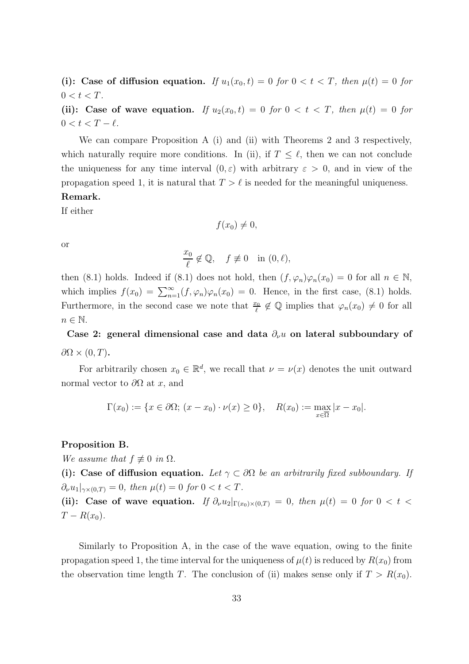(i): Case of diffusion equation. If  $u_1(x_0, t) = 0$  for  $0 < t < T$ , then  $\mu(t) = 0$  for  $0 < t < T$ .

(ii): Case of wave equation. If  $u_2(x_0, t) = 0$  for  $0 < t < T$ , then  $\mu(t) = 0$  for  $0 < t < T - \ell$ .

We can compare Proposition A (i) and (ii) with Theorems 2 and 3 respectively, which naturally require more conditions. In (ii), if  $T \leq \ell$ , then we can not conclude the uniqueness for any time interval  $(0, \varepsilon)$  with arbitrary  $\varepsilon > 0$ , and in view of the propagation speed 1, it is natural that  $T > \ell$  is needed for the meaningful uniqueness. Remark.

If either

$$
f(x_0)\neq 0,
$$

or

$$
\frac{x_0}{\ell} \notin \mathbb{Q}, \quad f \not\equiv 0 \quad \text{in } (0, \ell),
$$

then (8.1) holds. Indeed if (8.1) does not hold, then  $(f, \varphi_n)\varphi_n(x_0) = 0$  for all  $n \in \mathbb{N}$ , which implies  $f(x_0) = \sum_{n=1}^{\infty} (f, \varphi_n) \varphi_n(x_0) = 0$ . Hence, in the first case, (8.1) holds. Furthermore, in the second case we note that  $\frac{x_0}{\ell} \notin \mathbb{Q}$  implies that  $\varphi_n(x_0) \neq 0$  for all  $n \in \mathbb{N}$ .

Case 2: general dimensional case and data  $\partial_{\nu}u$  on lateral subboundary of  $\partial\Omega\times(0,T)$ .

For arbitrarily chosen  $x_0 \in \mathbb{R}^d$ , we recall that  $\nu = \nu(x)$  denotes the unit outward normal vector to  $\partial\Omega$  at x, and

$$
\Gamma(x_0) := \{ x \in \partial\Omega; \ (x - x_0) \cdot \nu(x) \ge 0 \}, \quad R(x_0) := \max_{x \in \overline{\Omega}} |x - x_0|.
$$

#### Proposition B.

We assume that  $f \not\equiv 0$  in  $\Omega$ .

(i): Case of diffusion equation. Let  $\gamma \subset \partial \Omega$  be an arbitrarily fixed subboundary. If  $\partial_{\nu}u_1|_{\gamma\times(0,T)}=0$ , then  $\mu(t)=0$  for  $0 < t < T$ .

(ii): Case of wave equation. If  $\partial_{\nu}u_2|_{\Gamma(x_0)\times(0,T)} = 0$ , then  $\mu(t) = 0$  for  $0 < t <$  $T - R(x_0)$ .

Similarly to Proposition A, in the case of the wave equation, owing to the finite propagation speed 1, the time interval for the uniqueness of  $\mu(t)$  is reduced by  $R(x_0)$  from the observation time length T. The conclusion of (ii) makes sense only if  $T > R(x_0)$ .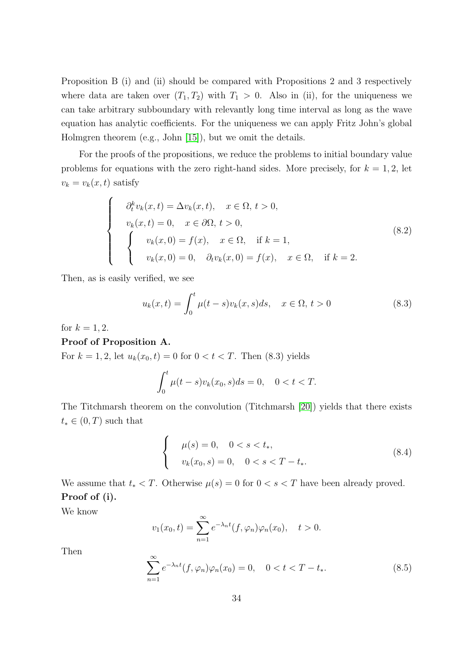Proposition B (i) and (ii) should be compared with Propositions 2 and 3 respectively where data are taken over  $(T_1, T_2)$  with  $T_1 > 0$ . Also in (ii), for the uniqueness we can take arbitrary subboundary with relevantly long time interval as long as the wave equation has analytic coefficients. For the uniqueness we can apply Fritz John's global Holmgren theorem (e.g., John [\[15\]](#page-37-13)), but we omit the details.

For the proofs of the propositions, we reduce the problems to initial boundary value problems for equations with the zero right-hand sides. More precisely, for  $k = 1, 2$ , let  $v_k = v_k(x, t)$  satisfy

$$
\begin{cases}\n\partial_t^k v_k(x,t) = \Delta v_k(x,t), & x \in \Omega, \ t > 0, \\
v_k(x,t) = 0, & x \in \partial\Omega, \ t > 0, \\
v_k(x,0) = f(x), & x \in \Omega, \text{ if } k = 1, \\
v_k(x,0) = 0, & \partial_t v_k(x,0) = f(x), \quad x \in \Omega, \text{ if } k = 2.\n\end{cases}
$$
\n(8.2)

Then, as is easily verified, we see

$$
u_k(x,t) = \int_0^t \mu(t-s)v_k(x,s)ds, \quad x \in \Omega, \, t > 0 \tag{8.3}
$$

for  $k = 1, 2$ .

### Proof of Proposition A.

For  $k = 1, 2$ , let  $u_k(x_0, t) = 0$  for  $0 < t < T$ . Then (8.3) yields

$$
\int_0^t \mu(t-s)v_k(x_0, s)ds = 0, \quad 0 < t < T.
$$

The Titchmarsh theorem on the convolution (Titchmarsh [\[20\]](#page-38-6)) yields that there exists  $t_* \in (0, T)$  such that

$$
\begin{cases}\n\mu(s) = 0, & 0 < s < t_*, \\
v_k(x_0, s) = 0, & 0 < s < T - t_*.\n\end{cases}
$$
\n(8.4)

We assume that  $t_* < T$ . Otherwise  $\mu(s) = 0$  for  $0 < s < T$  have been already proved. Proof of (i).

We know

$$
v_1(x_0, t) = \sum_{n=1}^{\infty} e^{-\lambda_n t} (f, \varphi_n) \varphi_n(x_0), \quad t > 0.
$$

Then

$$
\sum_{n=1}^{\infty} e^{-\lambda_n t} (f, \varphi_n) \varphi_n(x_0) = 0, \quad 0 < t < T - t_*.
$$
 (8.5)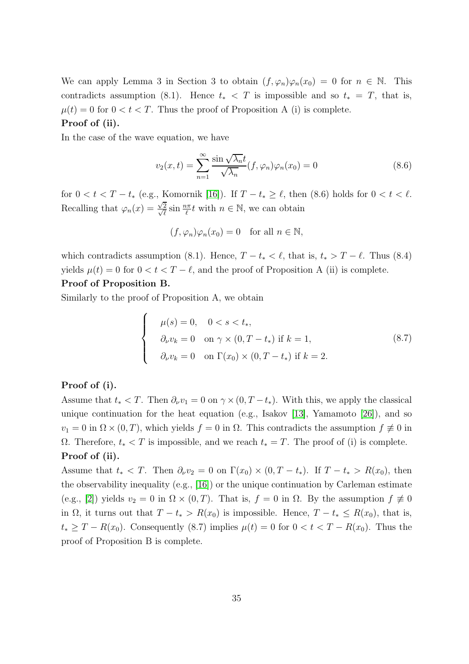We can apply Lemma 3 in Section 3 to obtain  $(f, \varphi_n)\varphi_n(x_0) = 0$  for  $n \in \mathbb{N}$ . This contradicts assumption (8.1). Hence  $t_* < T$  is impossible and so  $t_* = T$ , that is,  $\mu(t) = 0$  for  $0 < t < T$ . Thus the proof of Proposition A (i) is complete.

#### Proof of (ii).

In the case of the wave equation, we have

$$
v_2(x,t) = \sum_{n=1}^{\infty} \frac{\sin\sqrt{\lambda_n}t}{\sqrt{\lambda_n}} (f,\varphi_n)\varphi_n(x_0) = 0
$$
\n(8.6)

for  $0 < t < T - t_*$  (e.g., Komornik [\[16\]](#page-37-8)). If  $T - t_* \ge \ell$ , then (8.6) holds for  $0 < t < \ell$ . Recalling that  $\varphi_n(x) = \frac{\sqrt{2}}{n}$  $\frac{\sqrt{2}}{2}$  $\frac{2}{\ell} \sin \frac{n\pi}{\ell} t$  with  $n \in \mathbb{N}$ , we can obtain

$$
(f, \varphi_n)\varphi_n(x_0) = 0 \quad \text{for all } n \in \mathbb{N},
$$

which contradicts assumption (8.1). Hence,  $T - t_* < \ell$ , that is,  $t_* > T - \ell$ . Thus (8.4) yields  $\mu(t) = 0$  for  $0 < t < T - \ell$ , and the proof of Proposition A (ii) is complete.

#### Proof of Proposition B.

Similarly to the proof of Proposition A, we obtain

$$
\begin{cases}\n\mu(s) = 0, & 0 < s < t_*, \\
\partial_\nu v_k = 0 \quad \text{on } \gamma \times (0, T - t_*) \text{ if } k = 1, \\
\partial_\nu v_k = 0 \quad \text{on } \Gamma(x_0) \times (0, T - t_*) \text{ if } k = 2.\n\end{cases} \tag{8.7}
$$

#### Proof of (i).

Assume that  $t_* < T$ . Then  $\partial_\nu v_1 = 0$  on  $\gamma \times (0, T - t_*)$ . With this, we apply the classical unique continuation for the heat equation (e.g., Isakov [\[13\]](#page-37-12), Yamamoto [\[26\]](#page-38-7)), and so  $v_1 = 0$  in  $\Omega \times (0, T)$ , which yields  $f = 0$  in  $\Omega$ . This contradicts the assumption  $f \neq 0$  in Ω. Therefore,  $t_* < T$  is impossible, and we reach  $t_* = T$ . The proof of (i) is complete. Proof of (ii).

Assume that  $t_* < T$ . Then  $\partial_\nu v_2 = 0$  on  $\Gamma(x_0) \times (0, T - t_*)$ . If  $T - t_* > R(x_0)$ , then the observability inequality (e.g., [\[16\]](#page-37-8)) or the unique continuation by Carleman estimate (e.g., [\[2\]](#page-36-4)) yields  $v_2 = 0$  in  $\Omega \times (0, T)$ . That is,  $f = 0$  in  $\Omega$ . By the assumption  $f \neq 0$ in  $\Omega$ , it turns out that  $T - t_* > R(x_0)$  is impossible. Hence,  $T - t_* \leq R(x_0)$ , that is,  $t_* \geq T - R(x_0)$ . Consequently (8.7) implies  $\mu(t) = 0$  for  $0 < t < T - R(x_0)$ . Thus the proof of Proposition B is complete.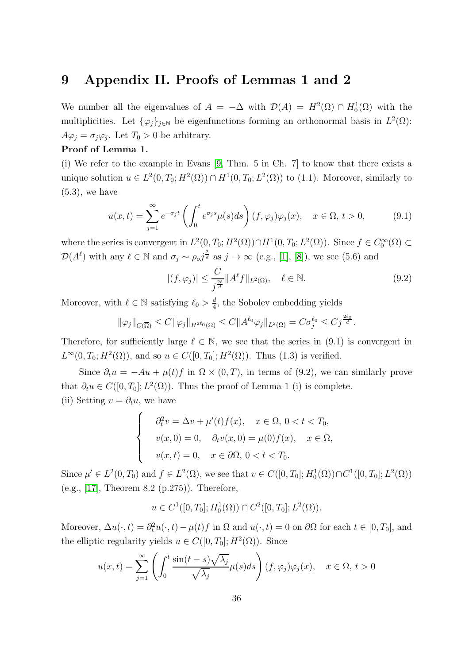### 9 Appendix II. Proofs of Lemmas 1 and 2

We number all the eigenvalues of  $A = -\Delta$  with  $\mathcal{D}(A) = H^2(\Omega) \cap H_0^1(\Omega)$  with the multiplicities. Let  $\{\varphi_j\}_{j\in\mathbb{N}}$  be eigenfunctions forming an orthonormal basis in  $L^2(\Omega)$ :  $A\varphi_j = \sigma_j \varphi_j$ . Let  $T_0 > 0$  be arbitrary.

#### Proof of Lemma 1.

(i) We refer to the example in Evans [\[9,](#page-37-0) Thm. 5 in Ch. 7] to know that there exists a unique solution  $u \in L^2(0, T_0; H^2(\Omega)) \cap H^1(0, T_0; L^2(\Omega))$  to (1.1). Moreover, similarly to  $(5.3)$ , we have

$$
u(x,t) = \sum_{j=1}^{\infty} e^{-\sigma_j t} \left( \int_0^t e^{\sigma_j s} \mu(s) ds \right) (f, \varphi_j) \varphi_j(x), \quad x \in \Omega, t > 0,
$$
 (9.1)

where the series is convergent in  $L^2(0,T_0;H^2(\Omega)) \cap H^1(0,T_0;L^2(\Omega))$ . Since  $f \in C_0^{\infty}(\Omega) \subset$  $\mathcal{D}(A^{\ell})$  with any  $\ell \in \mathbb{N}$  and  $\sigma_j \sim \rho_o j^{\frac{2}{d}}$  as  $j \to \infty$  (e.g., [\[1\]](#page-36-0), [\[8\]](#page-37-5)), we see (5.6) and

$$
|(f, \varphi_j)| \le \frac{C}{j^{\frac{2\ell}{d}}} \|A^{\ell} f\|_{L^2(\Omega)}, \quad \ell \in \mathbb{N}.
$$
 (9.2)

Moreover, with  $\ell \in \mathbb{N}$  satisfying  $\ell_0 > \frac{d}{4}$  $\frac{d}{4}$ , the Sobolev embedding yields

$$
\|\varphi_j\|_{C(\overline{\Omega})}\leq C\|\varphi_j\|_{H^{2\ell_0}(\Omega)}\leq C\|A^{\ell_0}\varphi_j\|_{L^2(\Omega)}=C\sigma_j^{\ell_0}\leq Cj^{\frac{2\ell_0}{d}}.
$$

Therefore, for sufficiently large  $\ell \in \mathbb{N}$ , we see that the series in (9.1) is convergent in  $L^{\infty}(0, T_0; H^2(\Omega))$ , and so  $u \in C([0, T_0]; H^2(\Omega))$ . Thus (1.3) is verified.

Since  $\partial_t u = -Au + \mu(t)f$  in  $\Omega \times (0,T)$ , in terms of (9.2), we can similarly prove that  $\partial_t u \in C([0, T_0]; L^2(\Omega))$ . Thus the proof of Lemma 1 (i) is complete. (ii) Setting  $v = \partial_t u$ , we have

$$
\begin{cases}\n\partial_t^2 v = \Delta v + \mu'(t)f(x), & x \in \Omega, \ 0 < t < T_0, \\
v(x, 0) = 0, & \partial_t v(x, 0) = \mu(0)f(x), \quad x \in \Omega, \\
v(x, t) = 0, & x \in \partial\Omega, \ 0 < t < T_0.\n\end{cases}
$$

Since  $\mu' \in L^2(0,T_0)$  and  $f \in L^2(\Omega)$ , we see that  $v \in C([0,T_0]; H_0^1(\Omega)) \cap C^1([0,T_0]; L^2(\Omega))$ (e.g., [\[17\]](#page-37-1), Theorem 8.2 (p.275)). Therefore,

$$
u \in C^1([0, T_0]; H_0^1(\Omega)) \cap C^2([0, T_0]; L^2(\Omega)).
$$

Moreover,  $\Delta u(\cdot, t) = \partial_t^2 u(\cdot, t) - \mu(t) f$  in  $\Omega$  and  $u(\cdot, t) = 0$  on  $\partial \Omega$  for each  $t \in [0, T_0]$ , and the elliptic regularity yields  $u \in C([0, T_0]; H^2(\Omega))$ . Since

$$
u(x,t) = \sum_{j=1}^{\infty} \left( \int_0^t \frac{\sin(t-s)\sqrt{\lambda_j}}{\sqrt{\lambda_j}} \mu(s)ds \right) (f, \varphi_j)\varphi_j(x), \quad x \in \Omega, t > 0
$$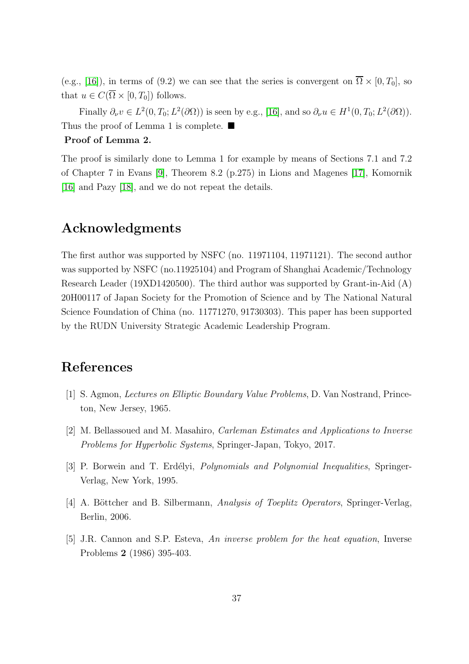(e.g., [\[16\]](#page-37-8)), in terms of (9.2) we can see that the series is convergent on  $\overline{\Omega} \times [0, T_0]$ , so that  $u \in C(\overline{\Omega} \times [0, T_0])$  follows.

Finally  $\partial_{\nu}v \in L^2(0,T_0; L^2(\partial\Omega))$  is seen by e.g., [\[16\]](#page-37-8), and so  $\partial_{\nu}u \in H^1(0,T_0; L^2(\partial\Omega))$ . Thus the proof of Lemma 1 is complete.  $\blacksquare$ 

#### Proof of Lemma 2.

The proof is similarly done to Lemma 1 for example by means of Sections 7.1 and 7.2 of Chapter 7 in Evans [\[9\]](#page-37-0), Theorem 8.2 (p.275) in Lions and Magenes [\[17\]](#page-37-1), Komornik [\[16\]](#page-37-8) and Pazy [\[18\]](#page-37-2), and we do not repeat the details.

### Acknowledgments

The first author was supported by NSFC (no. 11971104, 11971121). The second author was supported by NSFC (no.11925104) and Program of Shanghai Academic/Technology Research Leader (19XD1420500). The third author was supported by Grant-in-Aid (A) 20H00117 of Japan Society for the Promotion of Science and by The National Natural Science Foundation of China (no. 11771270, 91730303). This paper has been supported by the RUDN University Strategic Academic Leadership Program.

### <span id="page-36-0"></span>References

- <span id="page-36-4"></span>[1] S. Agmon, Lectures on Elliptic Boundary Value Problems, D. Van Nostrand, Princeton, New Jersey, 1965.
- <span id="page-36-2"></span>[2] M. Bellassoued and M. Masahiro, Carleman Estimates and Applications to Inverse Problems for Hyperbolic Systems, Springer-Japan, Tokyo, 2017.
- <span id="page-36-3"></span>[3] P. Borwein and T. Erdélyi, *Polynomials and Polynomial Inequalities*, Springer-Verlag, New York, 1995.
- <span id="page-36-1"></span>[4] A. Böttcher and B. Silbermann, Analysis of Toeplitz Operators, Springer-Verlag, Berlin, 2006.
- [5] J.R. Cannon and S.P. Esteva, An inverse problem for the heat equation, Inverse Problems 2 (1986) 395-403.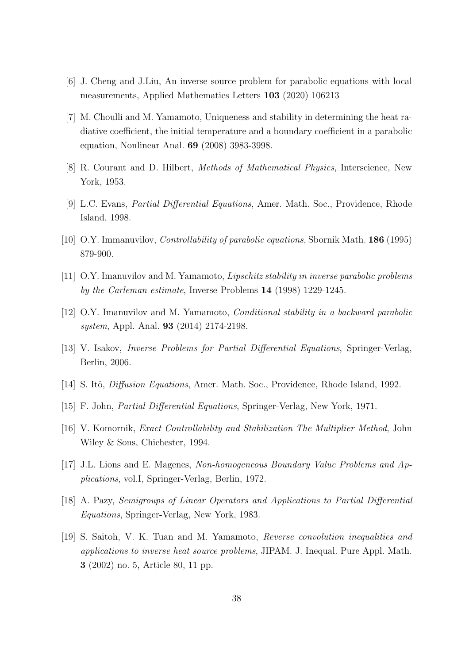- <span id="page-37-4"></span><span id="page-37-3"></span>[6] J. Cheng and J.Liu, An inverse source problem for parabolic equations with local measurements, Applied Mathematics Letters 103 (2020) 106213
- [7] M. Choulli and M. Yamamoto, Uniqueness and stability in determining the heat radiative coefficient, the initial temperature and a boundary coefficient in a parabolic equation, Nonlinear Anal. 69 (2008) 3983-3998.
- <span id="page-37-5"></span><span id="page-37-0"></span>[8] R. Courant and D. Hilbert, Methods of Mathematical Physics, Interscience, New York, 1953.
- <span id="page-37-9"></span>[9] L.C. Evans, Partial Differential Equations, Amer. Math. Soc., Providence, Rhode Island, 1998.
- <span id="page-37-10"></span>[10] O.Y. Immanuvilov, Controllability of parabolic equations, Sbornik Math. 186 (1995) 879-900.
- <span id="page-37-11"></span>[11] O.Y. Imanuvilov and M. Yamamoto, Lipschitz stability in inverse parabolic problems by the Carleman estimate, Inverse Problems 14 (1998) 1229-1245.
- <span id="page-37-12"></span>[12] O.Y. Imanuvilov and M. Yamamoto, Conditional stability in a backward parabolic system, Appl. Anal. 93 (2014) 2174-2198.
- <span id="page-37-7"></span>[13] V. Isakov, Inverse Problems for Partial Differential Equations, Springer-Verlag, Berlin, 2006.
- <span id="page-37-13"></span>[14] S. Itô, *Diffusion Equations*, Amer. Math. Soc., Providence, Rhode Island, 1992.
- <span id="page-37-8"></span>[15] F. John, Partial Differential Equations, Springer-Verlag, New York, 1971.
- <span id="page-37-1"></span>[16] V. Komornik, Exact Controllability and Stabilization The Multiplier Method, John Wiley & Sons, Chichester, 1994.
- <span id="page-37-2"></span>[17] J.L. Lions and E. Magenes, Non-homogeneous Boundary Value Problems and Applications, vol.I, Springer-Verlag, Berlin, 1972.
- <span id="page-37-6"></span>[18] A. Pazy, Semigroups of Linear Operators and Applications to Partial Differential Equations, Springer-Verlag, New York, 1983.
- [19] S. Saitoh, V. K. Tuan and M. Yamamoto, Reverse convolution inequalities and applications to inverse heat source problems, JIPAM. J. Inequal. Pure Appl. Math. 3 (2002) no. 5, Article 80, 11 pp.